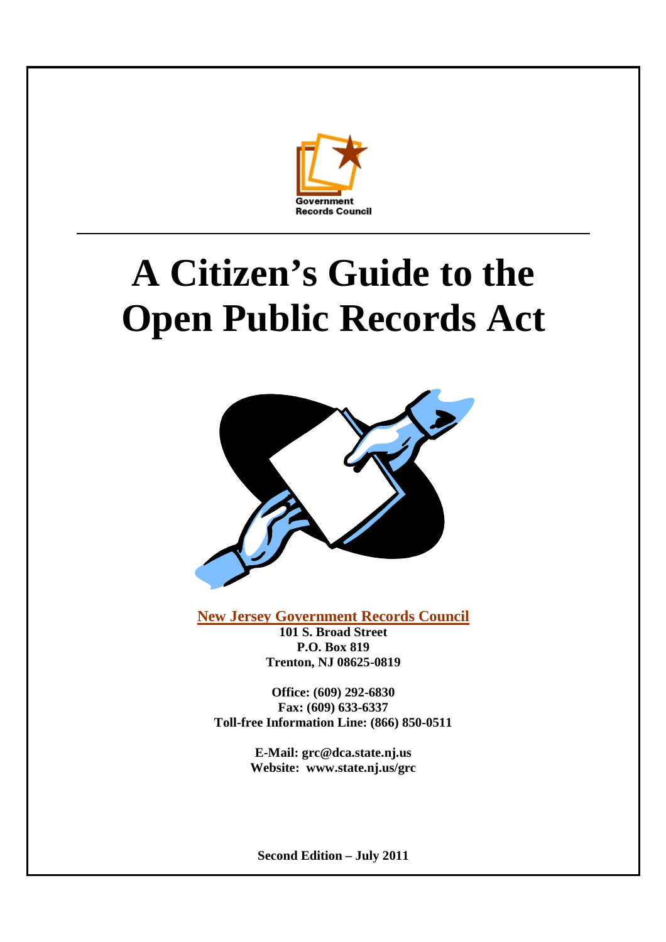

# **A Citizen's Guide to the Open Public Records Act**



**New Jersey Government Records Council**

**101 S. Broad Street P.O. Box 819 Trenton, NJ 08625-0819**

**Office: (609) 292-6830 Fax: (609) 633-6337 Toll-free Information Line: (866) 850-0511**

> **E-Mail: grc@dca.state.nj.us Website: www.state.nj.us/grc**

**Second Edition – July 2011**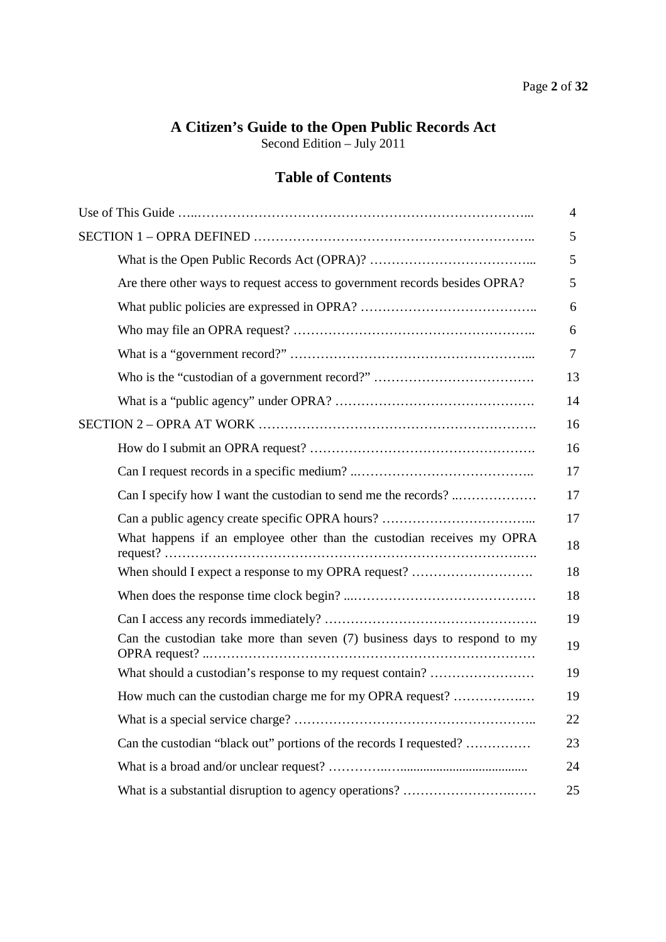# **A Citizen's Guide to the Open Public Records Act**

Second Edition – July 2011

# **Table of Contents**

|                                                                             | 4  |
|-----------------------------------------------------------------------------|----|
|                                                                             | 5  |
|                                                                             | 5  |
| Are there other ways to request access to government records besides OPRA?  | 5  |
|                                                                             | 6  |
|                                                                             | 6  |
|                                                                             | 7  |
|                                                                             | 13 |
|                                                                             | 14 |
|                                                                             | 16 |
|                                                                             | 16 |
|                                                                             | 17 |
| Can I specify how I want the custodian to send me the records?              | 17 |
|                                                                             | 17 |
| What happens if an employee other than the custodian receives my OPRA       | 18 |
| When should I expect a response to my OPRA request?                         | 18 |
|                                                                             | 18 |
|                                                                             | 19 |
| Can the custodian take more than seven $(7)$ business days to respond to my | 19 |
| What should a custodian's response to my request contain?                   | 19 |
| How much can the custodian charge me for my OPRA request?                   | 19 |
|                                                                             | 22 |
| Can the custodian "black out" portions of the records I requested?          | 23 |
|                                                                             | 24 |
|                                                                             | 25 |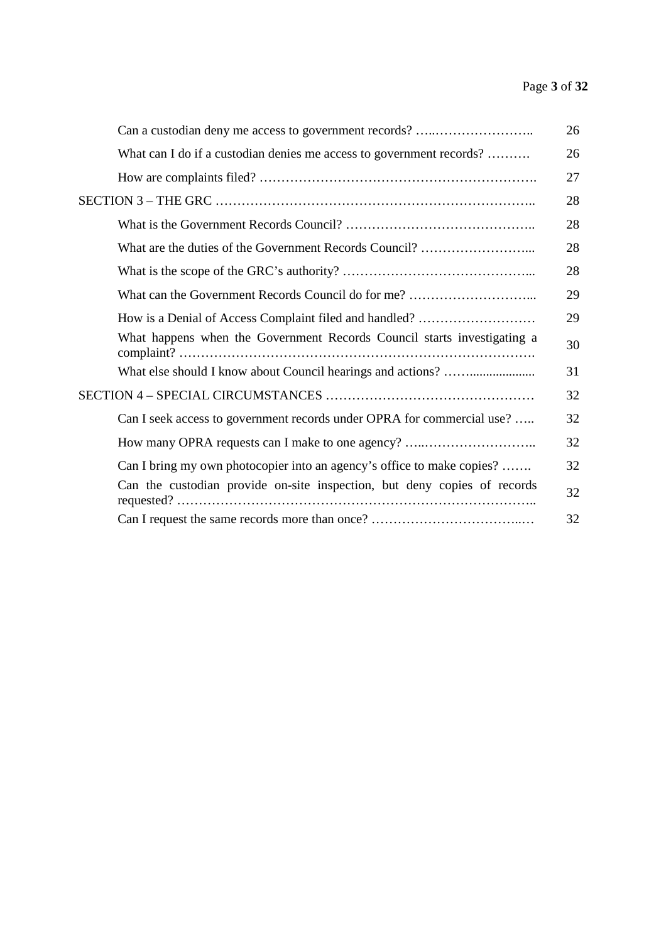# Page **3** of **32**

| Can a custodian deny me access to government records?                    | 26 |
|--------------------------------------------------------------------------|----|
| What can I do if a custodian denies me access to government records?     | 26 |
|                                                                          | 27 |
|                                                                          | 28 |
|                                                                          | 28 |
|                                                                          | 28 |
|                                                                          | 28 |
|                                                                          | 29 |
| How is a Denial of Access Complaint filed and handled?                   | 29 |
| What happens when the Government Records Council starts investigating a  | 30 |
|                                                                          | 31 |
|                                                                          | 32 |
| Can I seek access to government records under OPRA for commercial use?   | 32 |
| How many OPRA requests can I make to one agency?                         | 32 |
| Can I bring my own photocopier into an agency's office to make copies?   | 32 |
| Can the custodian provide on-site inspection, but deny copies of records | 32 |
|                                                                          | 32 |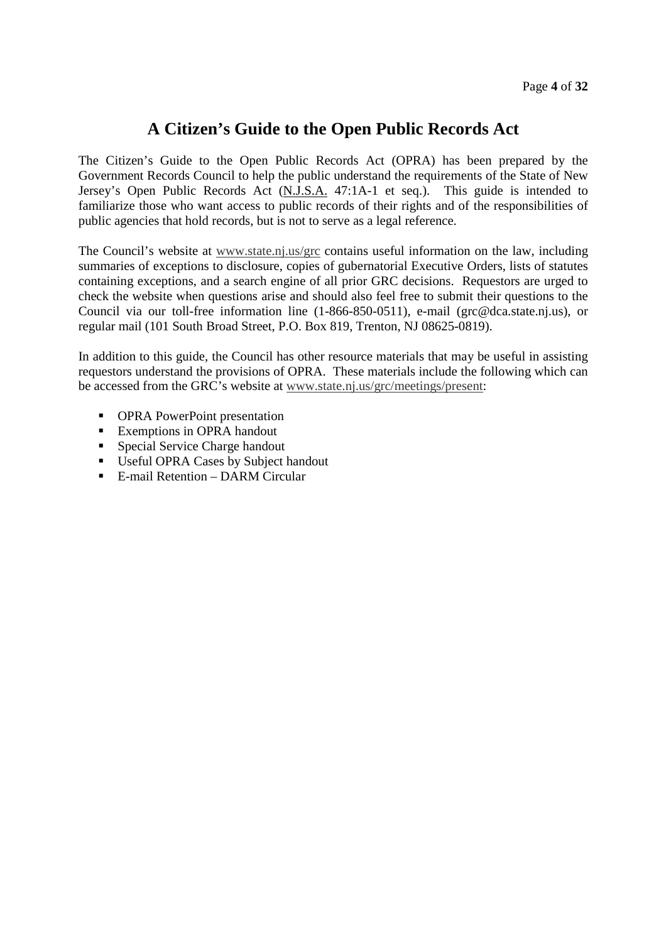# **A Citizen's Guide to the Open Public Records Act**

The Citizen's Guide to the Open Public Records Act (OPRA) has been prepared by the Government Records Council to help the public understand the requirements of the State of New Jersey's Open Public Records Act (N.J.S.A. 47:1A-1 et seq.). This guide is intended to familiarize those who want access to public records of their rights and of the responsibilities of public agencies that hold records, but is not to serve as a legal reference.

The Council's website at www.state.nj.us/grc contains useful information on the law, including summaries of exceptions to disclosure, copies of gubernatorial Executive Orders, lists of statutes containing exceptions, and a search engine of all prior GRC decisions. Requestors are urged to check the website when questions arise and should also feel free to submit their questions to the Council via our toll-free information line (1-866-850-0511), e-mail (grc@dca.state.nj.us), or regular mail (101 South Broad Street, P.O. Box 819, Trenton, NJ 08625-0819).

In addition to this guide, the Council has other resource materials that may be useful in assisting requestors understand the provisions of OPRA. These materials include the following which can be accessed from the GRC's website at www.state.nj.us/grc/meetings/present:

- **•** OPRA PowerPoint presentation
- **Exemptions in OPRA handout**
- **Special Service Charge handout**
- **Useful OPRA Cases by Subject handout**
- E-mail Retention DARM Circular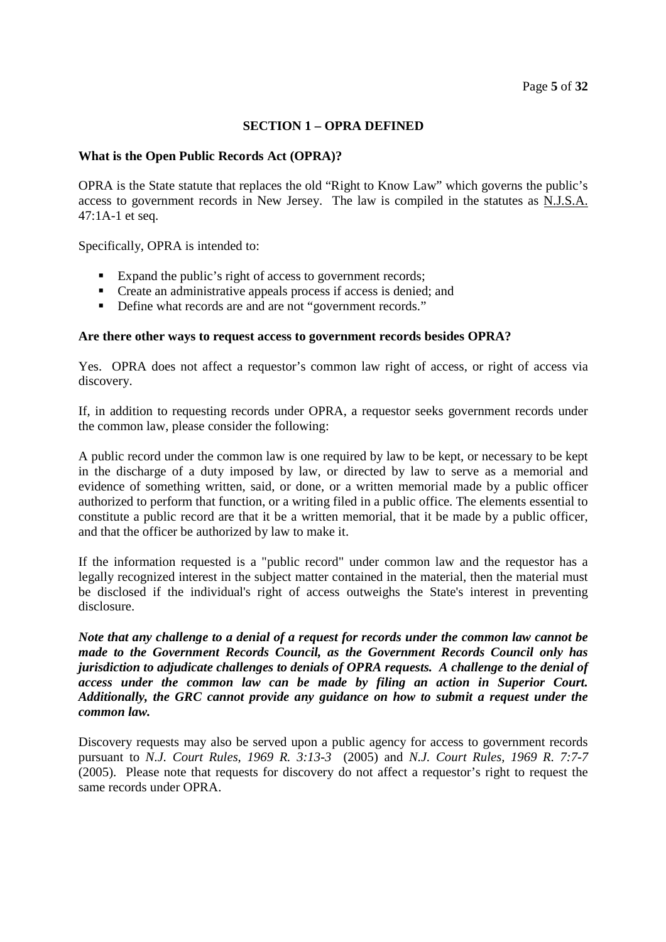# **SECTION 1 – OPRA DEFINED**

#### **What is the Open Public Records Act (OPRA)?**

OPRA is the State statute that replaces the old "Right to Know Law" which governs the public's access to government records in New Jersey. The law is compiled in the statutes as N.J.S.A. 47:1A-1 et seq.

Specifically, OPRA is intended to:

- Expand the public's right of access to government records;
- Create an administrative appeals process if access is denied; and
- Define what records are and are not "government records."

#### **Are there other ways to request access to government records besides OPRA?**

Yes. OPRA does not affect a requestor's common law right of access, or right of access via discovery.

If, in addition to requesting records under OPRA, a requestor seeks government records under the common law, please consider the following:

A public record under the common law is one required by law to be kept, or necessary to be kept in the discharge of a duty imposed by law, or directed by law to serve as a memorial and evidence of something written, said, or done, or a written memorial made by a public officer authorized to perform that function, or a writing filed in a public office. The elements essential to constitute a public record are that it be a written memorial, that it be made by a public officer, and that the officer be authorized by law to make it.

If the information requested is a "public record" under common law and the requestor has a legally recognized interest in the subject matter contained in the material, then the material must be disclosed if the individual's right of access outweighs the State's interest in preventing disclosure.

*Note that any challenge to a denial of a request for records under the common law cannot be made to the Government Records Council, as the Government Records Council only has jurisdiction to adjudicate challenges to denials of OPRA requests. A challenge to the denial of access under the common law can be made by filing an action in Superior Court. Additionally, the GRC cannot provide any guidance on how to submit a request under the common law.*

Discovery requests may also be served upon a public agency for access to government records pursuant to *N.J. Court Rules, 1969 R. 3:13-3* (2005) and *N.J. Court Rules, 1969 R. 7:7-7* (2005). Please note that requests for discovery do not affect a requestor's right to request the same records under OPRA.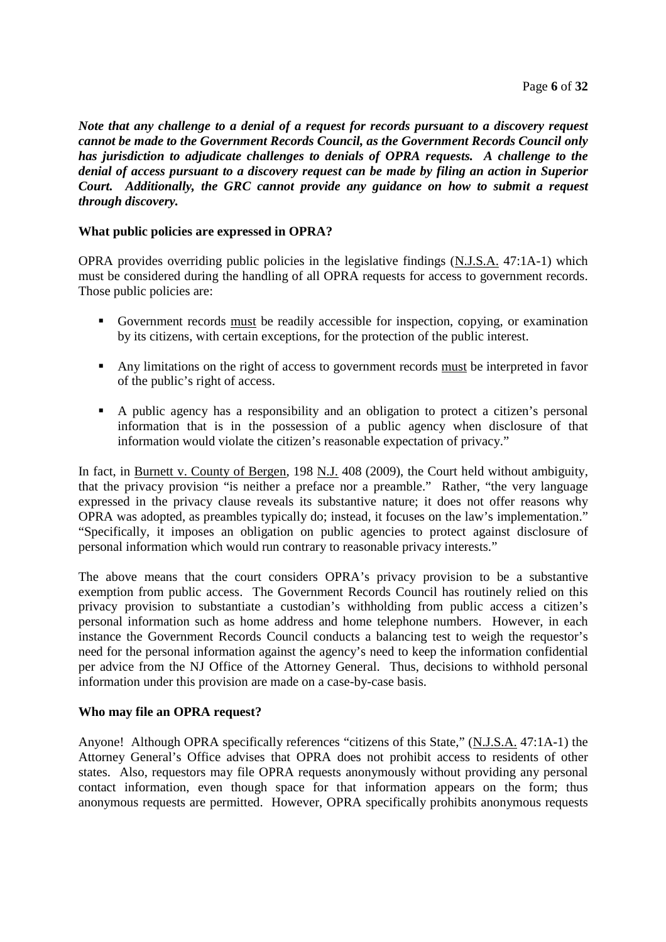*Note that any challenge to a denial of a request for records pursuant to a discovery request cannot be made to the Government Records Council, as the Government Records Council only has jurisdiction to adjudicate challenges to denials of OPRA requests. A challenge to the denial of access pursuant to a discovery request can be made by filing an action in Superior Court. Additionally, the GRC cannot provide any guidance on how to submit a request through discovery.*

# **What public policies are expressed in OPRA?**

OPRA provides overriding public policies in the legislative findings (N.J.S.A. 47:1A-1) which must be considered during the handling of all OPRA requests for access to government records. Those public policies are:

- Government records must be readily accessible for inspection, copying, or examination by its citizens, with certain exceptions, for the protection of the public interest.
- Any limitations on the right of access to government records must be interpreted in favor of the public's right of access.
- A public agency has a responsibility and an obligation to protect a citizen's personal information that is in the possession of a public agency when disclosure of that information would violate the citizen's reasonable expectation of privacy."

In fact, in Burnett v. County of Bergen, 198 N.J. 408 (2009), the Court held without ambiguity, that the privacy provision "is neither a preface nor a preamble." Rather, "the very language expressed in the privacy clause reveals its substantive nature; it does not offer reasons why OPRA was adopted, as preambles typically do; instead, it focuses on the law's implementation." "Specifically, it imposes an obligation on public agencies to protect against disclosure of personal information which would run contrary to reasonable privacy interests."

The above means that the court considers OPRA's privacy provision to be a substantive exemption from public access. The Government Records Council has routinely relied on this privacy provision to substantiate a custodian's withholding from public access a citizen's personal information such as home address and home telephone numbers. However, in each instance the Government Records Council conducts a balancing test to weigh the requestor's need for the personal information against the agency's need to keep the information confidential per advice from the NJ Office of the Attorney General. Thus, decisions to withhold personal information under this provision are made on a case-by-case basis.

#### **Who may file an OPRA request?**

Anyone! Although OPRA specifically references "citizens of this State," (N.J.S.A. 47:1A-1) the Attorney General's Office advises that OPRA does not prohibit access to residents of other states. Also, requestors may file OPRA requests anonymously without providing any personal contact information, even though space for that information appears on the form; thus anonymous requests are permitted. However, OPRA specifically prohibits anonymous requests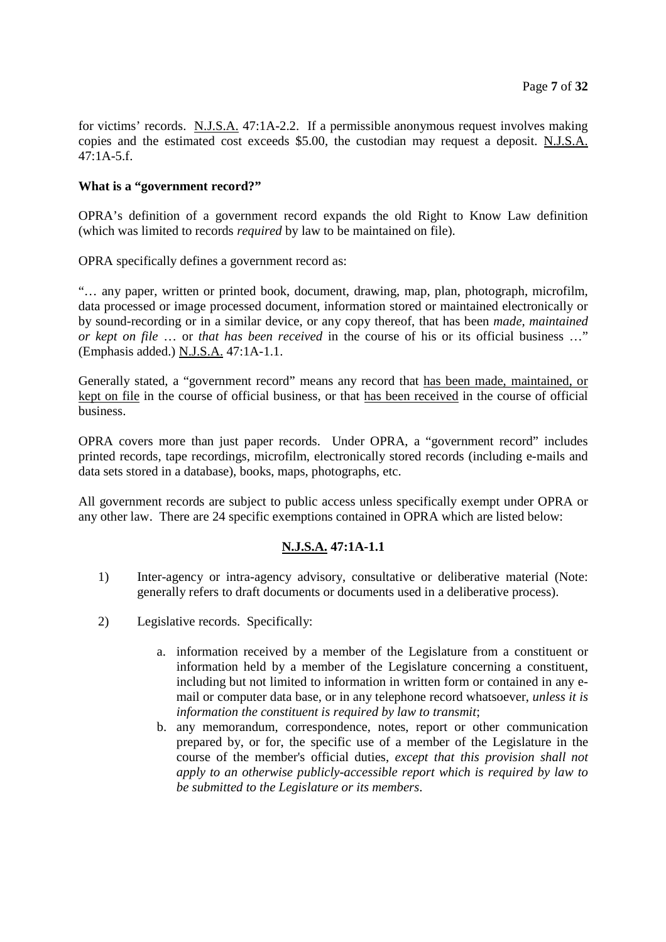for victims' records. N.J.S.A. 47:1A-2.2. If a permissible anonymous request involves making copies and the estimated cost exceeds \$5.00, the custodian may request a deposit. N.J.S.A.  $47:1A-5.f.$ 

# **What is a "government record?"**

OPRA's definition of a government record expands the old Right to Know Law definition (which was limited to records *required* by law to be maintained on file).

OPRA specifically defines a government record as:

"… any paper, written or printed book, document, drawing, map, plan, photograph, microfilm, data processed or image processed document, information stored or maintained electronically or by sound-recording or in a similar device, or any copy thereof, that has been *made, maintained or kept on file* … or *that has been received* in the course of his or its official business …" (Emphasis added.) N.J.S.A. 47:1A-1.1.

Generally stated, a "government record" means any record that has been made, maintained, or kept on file in the course of official business, or that has been received in the course of official business.

OPRA covers more than just paper records. Under OPRA, a "government record" includes printed records, tape recordings, microfilm, electronically stored records (including e-mails and data sets stored in a database), books, maps, photographs, etc.

All government records are subject to public access unless specifically exempt under OPRA or any other law. There are 24 specific exemptions contained in OPRA which are listed below:

# **N.J.S.A. 47:1A-1.1**

- 1) Inter-agency or intra-agency advisory, consultative or deliberative material (Note: generally refers to draft documents or documents used in a deliberative process).
- 2) Legislative records. Specifically:
	- a. information received by a member of the Legislature from a constituent or information held by a member of the Legislature concerning a constituent, including but not limited to information in written form or contained in any email or computer data base, or in any telephone record whatsoever, *unless it is information the constituent is required by law to transmit*;
	- b. any memorandum, correspondence, notes, report or other communication prepared by, or for, the specific use of a member of the Legislature in the course of the member's official duties, *except that this provision shall not apply to an otherwise publicly-accessible report which is required by law to be submitted to the Legislature or its members*.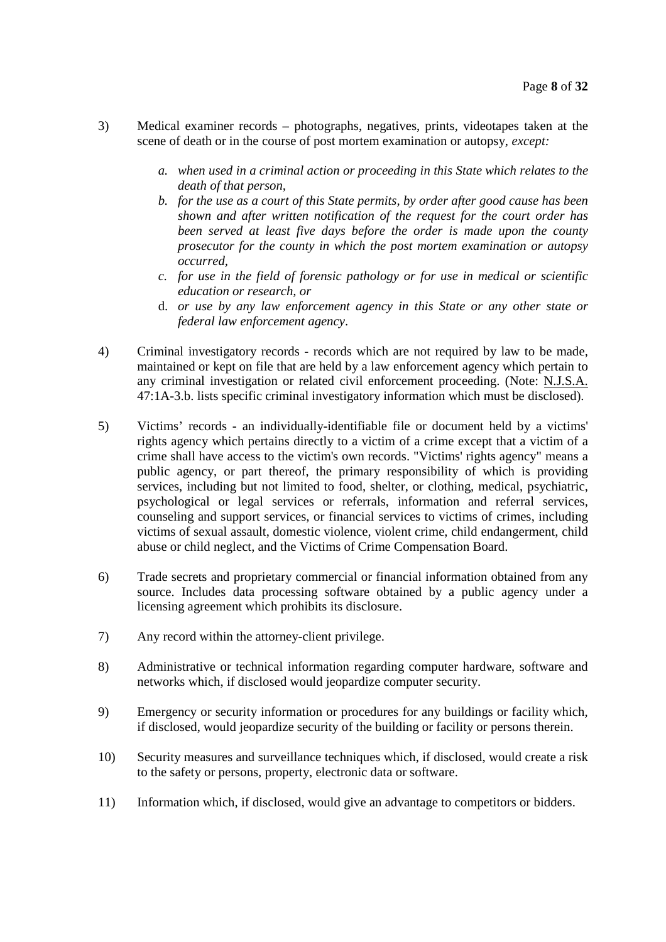- 3) Medical examiner records photographs, negatives, prints, videotapes taken at the scene of death or in the course of post mortem examination or autopsy, *except:*
	- *a. when used in a criminal action or proceeding in this State which relates to the death of that person,*
	- *b. for the use as a court of this State permits, by order after good cause has been shown and after written notification of the request for the court order has been served at least five days before the order is made upon the county prosecutor for the county in which the post mortem examination or autopsy occurred,*
	- *c. for use in the field of forensic pathology or for use in medical or scientific education or research, or*
	- d. *or use by any law enforcement agency in this State or any other state or federal law enforcement agency*.
- 4) Criminal investigatory records records which are not required by law to be made, maintained or kept on file that are held by a law enforcement agency which pertain to any criminal investigation or related civil enforcement proceeding. (Note: N.J.S.A. 47:1A-3.b. lists specific criminal investigatory information which must be disclosed).
- 5) Victims' records an individually-identifiable file or document held by a victims' rights agency which pertains directly to a victim of a crime except that a victim of a crime shall have access to the victim's own records. "Victims' rights agency" means a public agency, or part thereof, the primary responsibility of which is providing services, including but not limited to food, shelter, or clothing, medical, psychiatric, psychological or legal services or referrals, information and referral services, counseling and support services, or financial services to victims of crimes, including victims of sexual assault, domestic violence, violent crime, child endangerment, child abuse or child neglect, and the Victims of Crime Compensation Board.
- 6) Trade secrets and proprietary commercial or financial information obtained from any source. Includes data processing software obtained by a public agency under a licensing agreement which prohibits its disclosure.
- 7) Any record within the attorney-client privilege.
- 8) Administrative or technical information regarding computer hardware, software and networks which, if disclosed would jeopardize computer security.
- 9) Emergency or security information or procedures for any buildings or facility which, if disclosed, would jeopardize security of the building or facility or persons therein.
- 10) Security measures and surveillance techniques which, if disclosed, would create a risk to the safety or persons, property, electronic data or software.
- 11) Information which, if disclosed, would give an advantage to competitors or bidders.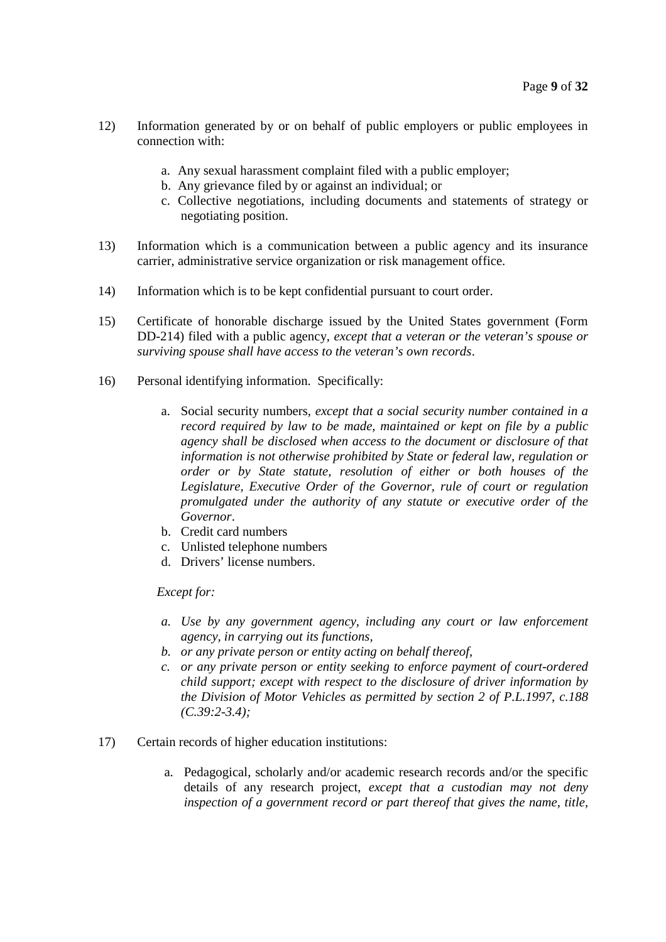- 12) Information generated by or on behalf of public employers or public employees in connection with:
	- a. Any sexual harassment complaint filed with a public employer;
	- b. Any grievance filed by or against an individual; or
	- c. Collective negotiations, including documents and statements of strategy or negotiating position.
- 13) Information which is a communication between a public agency and its insurance carrier, administrative service organization or risk management office.
- 14) Information which is to be kept confidential pursuant to court order.
- 15) Certificate of honorable discharge issued by the United States government (Form DD-214) filed with a public agency, *except that a veteran or the veteran's spouse or surviving spouse shall have access to the veteran's own records*.
- 16) Personal identifying information. Specifically:
	- a. Social security numbers, *except that a social security number contained in a record required by law to be made, maintained or kept on file by a public agency shall be disclosed when access to the document or disclosure of that information is not otherwise prohibited by State or federal law, regulation or order or by State statute, resolution of either or both houses of the Legislature, Executive Order of the Governor, rule of court or regulation promulgated under the authority of any statute or executive order of the Governor*.
	- b. Credit card numbers
	- c. Unlisted telephone numbers
	- d. Drivers' license numbers.

#### *Except for:*

- *a. Use by any government agency, including any court or law enforcement agency, in carrying out its functions,*
- *b. or any private person or entity acting on behalf thereof,*
- *c. or any private person or entity seeking to enforce payment of court-ordered child support; except with respect to the disclosure of driver information by the Division of Motor Vehicles as permitted by section 2 of P.L.1997, c.188 (C.39:2-3.4);*
- 17) Certain records of higher education institutions:
	- a. Pedagogical, scholarly and/or academic research records and/or the specific details of any research project, *except that a custodian may not deny inspection of a government record or part thereof that gives the name, title,*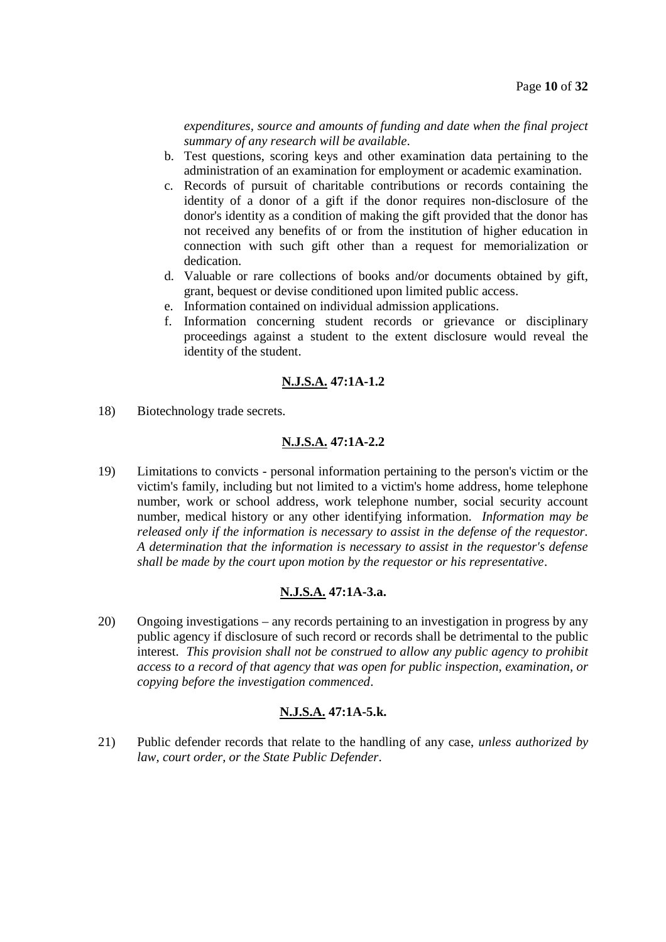*expenditures, source and amounts of funding and date when the final project summary of any research will be available*.

- b. Test questions, scoring keys and other examination data pertaining to the administration of an examination for employment or academic examination.
- c. Records of pursuit of charitable contributions or records containing the identity of a donor of a gift if the donor requires non-disclosure of the donor's identity as a condition of making the gift provided that the donor has not received any benefits of or from the institution of higher education in connection with such gift other than a request for memorialization or dedication.
- d. Valuable or rare collections of books and/or documents obtained by gift, grant, bequest or devise conditioned upon limited public access.
- e. Information contained on individual admission applications.
- f. Information concerning student records or grievance or disciplinary proceedings against a student to the extent disclosure would reveal the identity of the student.

# **N.J.S.A. 47:1A-1.2**

18) Biotechnology trade secrets.

# **N.J.S.A. 47:1A-2.2**

19) Limitations to convicts - personal information pertaining to the person's victim or the victim's family, including but not limited to a victim's home address, home telephone number, work or school address, work telephone number, social security account number, medical history or any other identifying information. *Information may be released only if the information is necessary to assist in the defense of the requestor. A determination that the information is necessary to assist in the requestor's defense shall be made by the court upon motion by the requestor or his representative*.

#### **N.J.S.A. 47:1A-3.a.**

20) Ongoing investigations – any records pertaining to an investigation in progress by any public agency if disclosure of such record or records shall be detrimental to the public interest. *This provision shall not be construed to allow any public agency to prohibit access to a record of that agency that was open for public inspection, examination, or copying before the investigation commenced*.

# **N.J.S.A. 47:1A-5.k.**

21) Public defender records that relate to the handling of any case, *unless authorized by law, court order, or the State Public Defender*.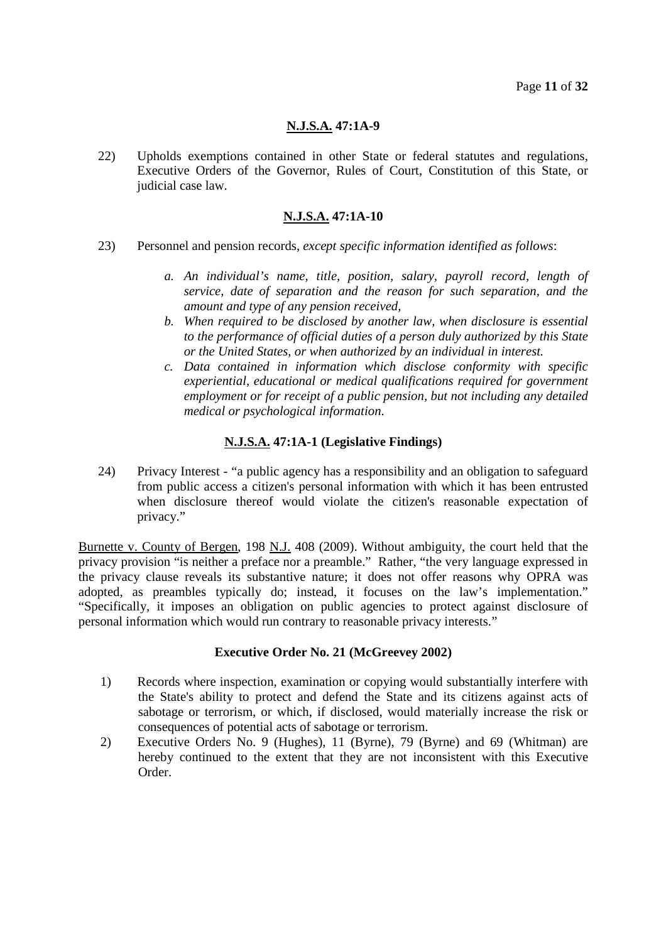# **N.J.S.A. 47:1A-9**

22) Upholds exemptions contained in other State or federal statutes and regulations, Executive Orders of the Governor, Rules of Court, Constitution of this State, or judicial case law.

# **N.J.S.A. 47:1A-10**

- 23) Personnel and pension records, *except specific information identified as follows*:
	- *a. An individual's name, title, position, salary, payroll record, length of service, date of separation and the reason for such separation, and the amount and type of any pension received,*
	- *b. When required to be disclosed by another law, when disclosure is essential to the performance of official duties of a person duly authorized by this State or the United States, or when authorized by an individual in interest.*
	- *c. Data contained in information which disclose conformity with specific experiential, educational or medical qualifications required for government employment or for receipt of a public pension, but not including any detailed medical or psychological information*.

# **N.J.S.A. 47:1A-1 (Legislative Findings)**

24) Privacy Interest - "a public agency has a responsibility and an obligation to safeguard from public access a citizen's personal information with which it has been entrusted when disclosure thereof would violate the citizen's reasonable expectation of privacy."

Burnette v. County of Bergen, 198 N.J. 408 (2009). Without ambiguity, the court held that the privacy provision "is neither a preface nor a preamble." Rather, "the very language expressed in the privacy clause reveals its substantive nature; it does not offer reasons why OPRA was adopted, as preambles typically do; instead, it focuses on the law's implementation." "Specifically, it imposes an obligation on public agencies to protect against disclosure of personal information which would run contrary to reasonable privacy interests."

# **Executive Order No. 21 (McGreevey 2002)**

- 1) Records where inspection, examination or copying would substantially interfere with the State's ability to protect and defend the State and its citizens against acts of sabotage or terrorism, or which, if disclosed, would materially increase the risk or consequences of potential acts of sabotage or terrorism.
- 2) Executive Orders No. 9 (Hughes), 11 (Byrne), 79 (Byrne) and 69 (Whitman) are hereby continued to the extent that they are not inconsistent with this Executive Order.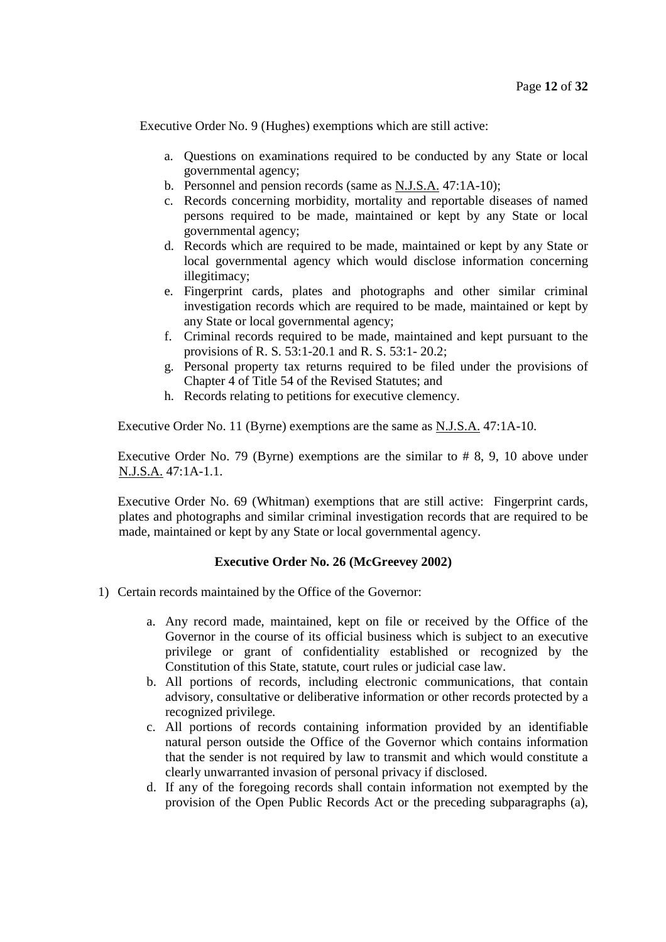Executive Order No. 9 (Hughes) exemptions which are still active:

- a. Questions on examinations required to be conducted by any State or local governmental agency;
- b. Personnel and pension records (same as N.J.S.A. 47:1A-10);
- c. Records concerning morbidity, mortality and reportable diseases of named persons required to be made, maintained or kept by any State or local governmental agency;
- d. Records which are required to be made, maintained or kept by any State or local governmental agency which would disclose information concerning illegitimacy;
- e. Fingerprint cards, plates and photographs and other similar criminal investigation records which are required to be made, maintained or kept by any State or local governmental agency;
- f. Criminal records required to be made, maintained and kept pursuant to the provisions of R. S. 53:1-20.1 and R. S. 53:1- 20.2;
- g. Personal property tax returns required to be filed under the provisions of Chapter 4 of Title 54 of the Revised Statutes; and
- h. Records relating to petitions for executive clemency.

Executive Order No. 11 (Byrne) exemptions are the same as N.J.S.A. 47:1A-10.

Executive Order No. 79 (Byrne) exemptions are the similar to # 8, 9, 10 above under N.J.S.A. 47:1A-1.1.

Executive Order No. 69 (Whitman) exemptions that are still active: Fingerprint cards, plates and photographs and similar criminal investigation records that are required to be made, maintained or kept by any State or local governmental agency.

# **Executive Order No. 26 (McGreevey 2002)**

- 1) Certain records maintained by the Office of the Governor:
	- a. Any record made, maintained, kept on file or received by the Office of the Governor in the course of its official business which is subject to an executive privilege or grant of confidentiality established or recognized by the Constitution of this State, statute, court rules or judicial case law.
	- b. All portions of records, including electronic communications, that contain advisory, consultative or deliberative information or other records protected by a recognized privilege.
	- c. All portions of records containing information provided by an identifiable natural person outside the Office of the Governor which contains information that the sender is not required by law to transmit and which would constitute a clearly unwarranted invasion of personal privacy if disclosed.
	- d. If any of the foregoing records shall contain information not exempted by the provision of the Open Public Records Act or the preceding subparagraphs (a),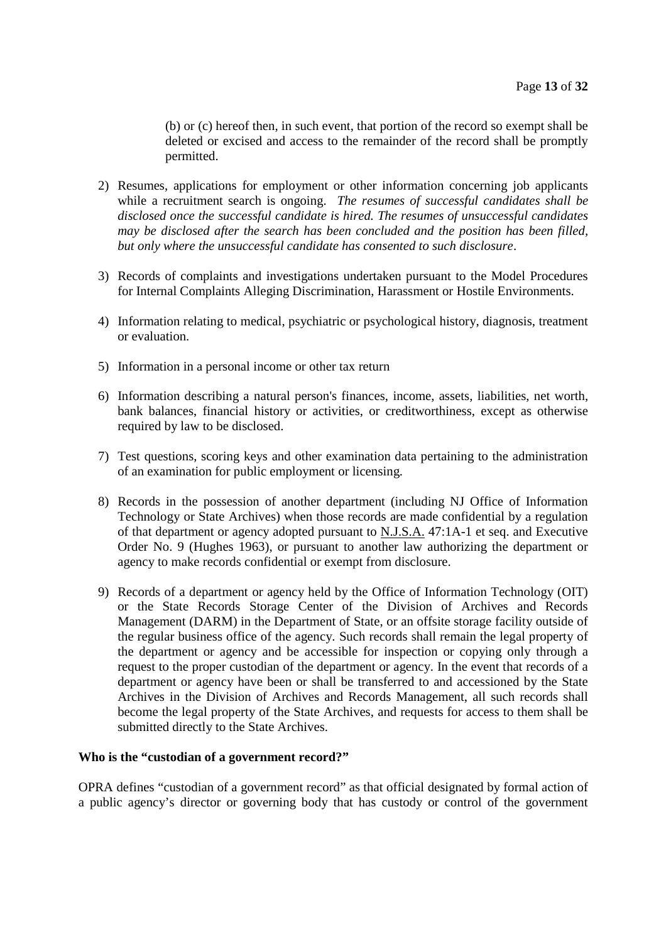(b) or (c) hereof then, in such event, that portion of the record so exempt shall be deleted or excised and access to the remainder of the record shall be promptly permitted.

- 2) Resumes, applications for employment or other information concerning job applicants while a recruitment search is ongoing. *The resumes of successful candidates shall be disclosed once the successful candidate is hired. The resumes of unsuccessful candidates may be disclosed after the search has been concluded and the position has been filled, but only where the unsuccessful candidate has consented to such disclosure*.
- 3) Records of complaints and investigations undertaken pursuant to the Model Procedures for Internal Complaints Alleging Discrimination, Harassment or Hostile Environments.
- 4) Information relating to medical, psychiatric or psychological history, diagnosis, treatment or evaluation.
- 5) Information in a personal income or other tax return
- 6) Information describing a natural person's finances, income, assets, liabilities, net worth, bank balances, financial history or activities, or creditworthiness, except as otherwise required by law to be disclosed.
- 7) Test questions, scoring keys and other examination data pertaining to the administration of an examination for public employment or licensing.
- 8) Records in the possession of another department (including NJ Office of Information Technology or State Archives) when those records are made confidential by a regulation of that department or agency adopted pursuant to N.J.S.A. 47:1A-1 et seq. and Executive Order No. 9 (Hughes 1963), or pursuant to another law authorizing the department or agency to make records confidential or exempt from disclosure.
- 9) Records of a department or agency held by the Office of Information Technology (OIT) or the State Records Storage Center of the Division of Archives and Records Management (DARM) in the Department of State, or an offsite storage facility outside of the regular business office of the agency. Such records shall remain the legal property of the department or agency and be accessible for inspection or copying only through a request to the proper custodian of the department or agency. In the event that records of a department or agency have been or shall be transferred to and accessioned by the State Archives in the Division of Archives and Records Management, all such records shall become the legal property of the State Archives, and requests for access to them shall be submitted directly to the State Archives.

#### **Who is the "custodian of a government record?"**

OPRA defines "custodian of a government record" as that official designated by formal action of a public agency's director or governing body that has custody or control of the government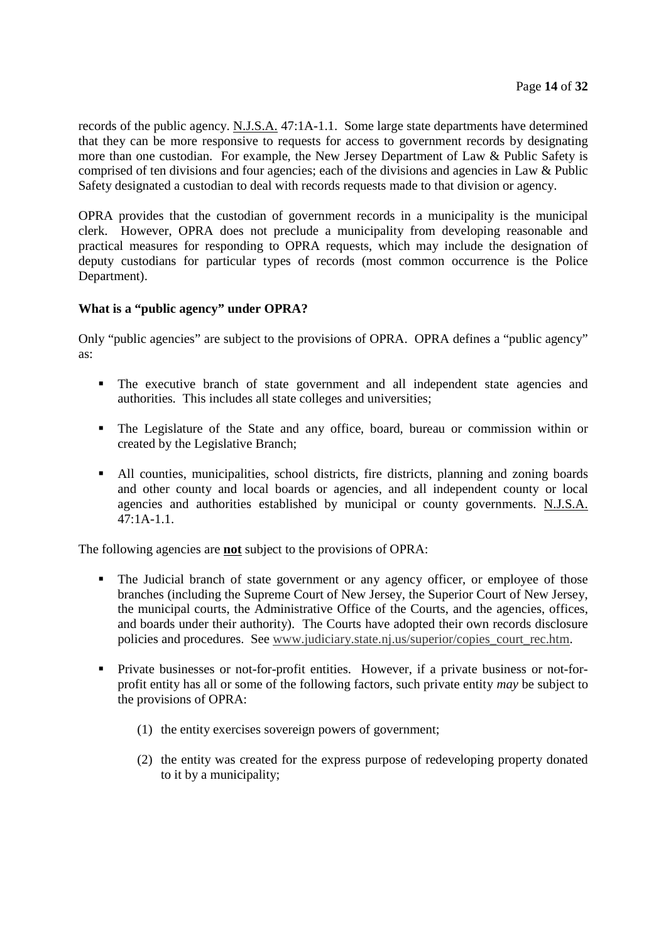records of the public agency. N.J.S.A. 47:1A-1.1. Some large state departments have determined that they can be more responsive to requests for access to government records by designating more than one custodian. For example, the New Jersey Department of Law & Public Safety is comprised of ten divisions and four agencies; each of the divisions and agencies in Law & Public Safety designated a custodian to deal with records requests made to that division or agency.

OPRA provides that the custodian of government records in a municipality is the municipal clerk. However, OPRA does not preclude a municipality from developing reasonable and practical measures for responding to OPRA requests, which may include the designation of deputy custodians for particular types of records (most common occurrence is the Police Department).

# **What is a "public agency" under OPRA?**

Only "public agencies" are subject to the provisions of OPRA. OPRA defines a "public agency" as:

- The executive branch of state government and all independent state agencies and authorities*.* This includes all state colleges and universities;
- The Legislature of the State and any office, board, bureau or commission within or created by the Legislative Branch;
- All counties, municipalities, school districts, fire districts, planning and zoning boards and other county and local boards or agencies, and all independent county or local agencies and authorities established by municipal or county governments. N.J.S.A.  $47:1A-1.1$ .

The following agencies are **not** subject to the provisions of OPRA:

- The Judicial branch of state government or any agency officer, or employee of those branches (including the Supreme Court of New Jersey, the Superior Court of New Jersey, the municipal courts, the Administrative Office of the Courts, and the agencies, offices, and boards under their authority). The Courts have adopted their own records disclosure policies and procedures. See www.judiciary.state.nj.us/superior/copies\_court\_rec.htm.
- Private businesses or not-for-profit entities. However, if a private business or not-forprofit entity has all or some of the following factors, such private entity *may* be subject to the provisions of OPRA:
	- (1) the entity exercises sovereign powers of government;
	- (2) the entity was created for the express purpose of redeveloping property donated to it by a municipality;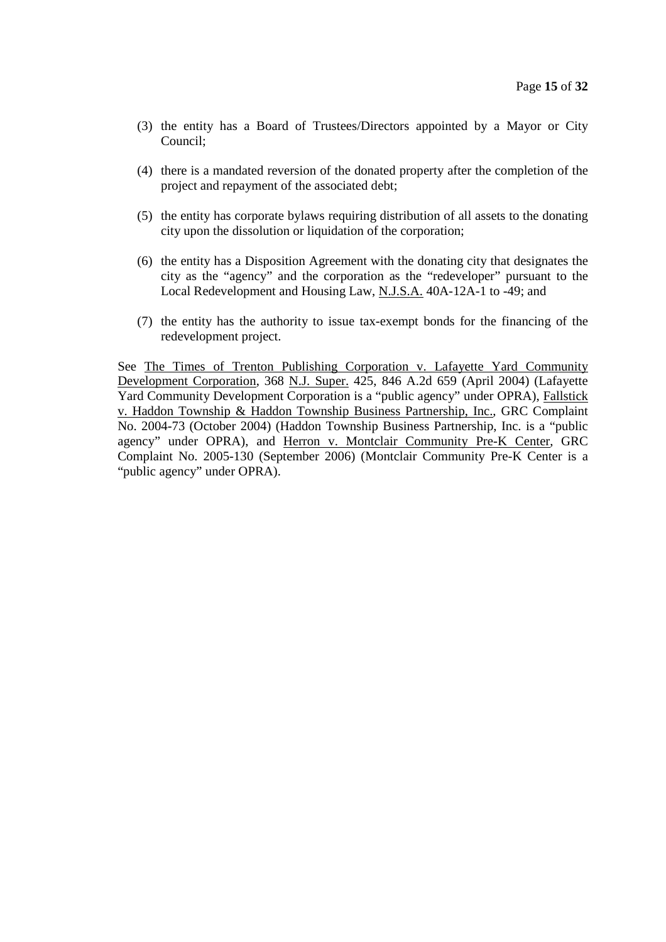- (3) the entity has a Board of Trustees/Directors appointed by a Mayor or City Council;
- (4) there is a mandated reversion of the donated property after the completion of the project and repayment of the associated debt;
- (5) the entity has corporate bylaws requiring distribution of all assets to the donating city upon the dissolution or liquidation of the corporation;
- (6) the entity has a Disposition Agreement with the donating city that designates the city as the "agency" and the corporation as the "redeveloper" pursuant to the Local Redevelopment and Housing Law, N.J.S.A. 40A-12A-1 to -49; and
- (7) the entity has the authority to issue tax-exempt bonds for the financing of the redevelopment project.

See The Times of Trenton Publishing Corporation v. Lafayette Yard Community Development Corporation, 368 N.J. Super. 425, 846 A.2d 659 (April 2004) (Lafayette Yard Community Development Corporation is a "public agency" under OPRA), Fallstick v. Haddon Township & Haddon Township Business Partnership, Inc., GRC Complaint No. 2004-73 (October 2004) (Haddon Township Business Partnership, Inc. is a "public agency" under OPRA), and Herron v. Montclair Community Pre-K Center, GRC Complaint No. 2005-130 (September 2006) (Montclair Community Pre-K Center is a "public agency" under OPRA).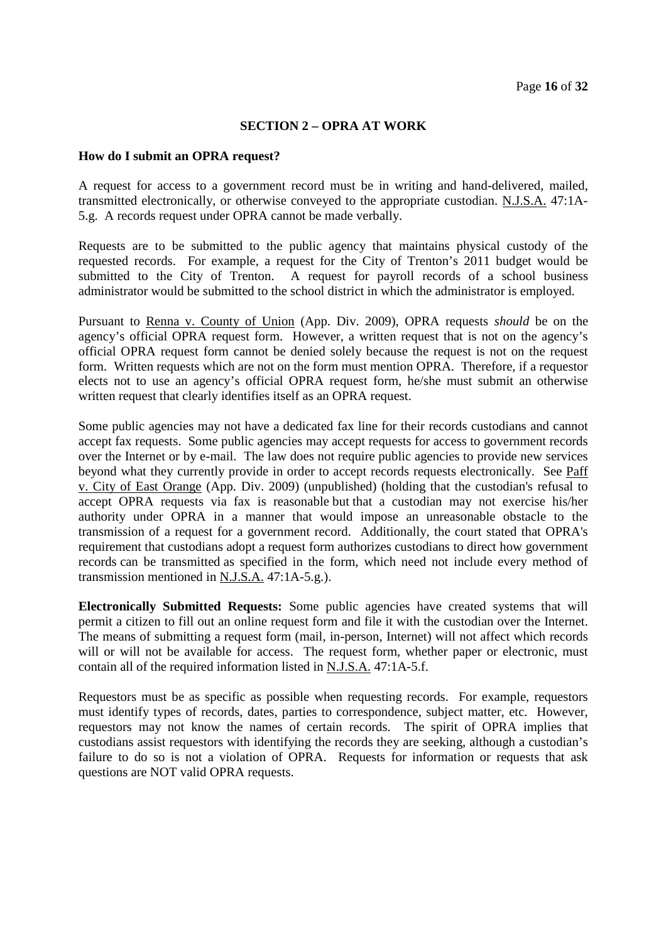# **SECTION 2 – OPRA AT WORK**

#### **How do I submit an OPRA request?**

A request for access to a government record must be in writing and hand-delivered, mailed, transmitted electronically, or otherwise conveyed to the appropriate custodian. N.J.S.A. 47:1A-5.g. A records request under OPRA cannot be made verbally.

Requests are to be submitted to the public agency that maintains physical custody of the requested records. For example, a request for the City of Trenton's 2011 budget would be submitted to the City of Trenton. A request for payroll records of a school business administrator would be submitted to the school district in which the administrator is employed.

Pursuant to Renna v. County of Union (App. Div. 2009), OPRA requests *should* be on the agency's official OPRA request form. However, a written request that is not on the agency's official OPRA request form cannot be denied solely because the request is not on the request form. Written requests which are not on the form must mention OPRA. Therefore, if a requestor elects not to use an agency's official OPRA request form, he/she must submit an otherwise written request that clearly identifies itself as an OPRA request.

Some public agencies may not have a dedicated fax line for their records custodians and cannot accept fax requests. Some public agencies may accept requests for access to government records over the Internet or by e-mail. The law does not require public agencies to provide new services beyond what they currently provide in order to accept records requests electronically. See Paff v. City of East Orange (App. Div. 2009) (unpublished) (holding that the custodian's refusal to accept OPRA requests via fax is reasonable but that a custodian may not exercise his/her authority under OPRA in a manner that would impose an unreasonable obstacle to the transmission of a request for a government record. Additionally, the court stated that OPRA's requirement that custodians adopt a request form authorizes custodians to direct how government records can be transmitted as specified in the form, which need not include every method of transmission mentioned in  $N.J.S.A.$  47:1A-5.g.).

**Electronically Submitted Requests:** Some public agencies have created systems that will permit a citizen to fill out an online request form and file it with the custodian over the Internet. The means of submitting a request form (mail, in-person, Internet) will not affect which records will or will not be available for access. The request form, whether paper or electronic, must contain all of the required information listed in N.J.S.A. 47:1A-5.f.

Requestors must be as specific as possible when requesting records. For example, requestors must identify types of records, dates, parties to correspondence, subject matter, etc. However, requestors may not know the names of certain records. The spirit of OPRA implies that custodians assist requestors with identifying the records they are seeking, although a custodian's failure to do so is not a violation of OPRA. Requests for information or requests that ask questions are NOT valid OPRA requests.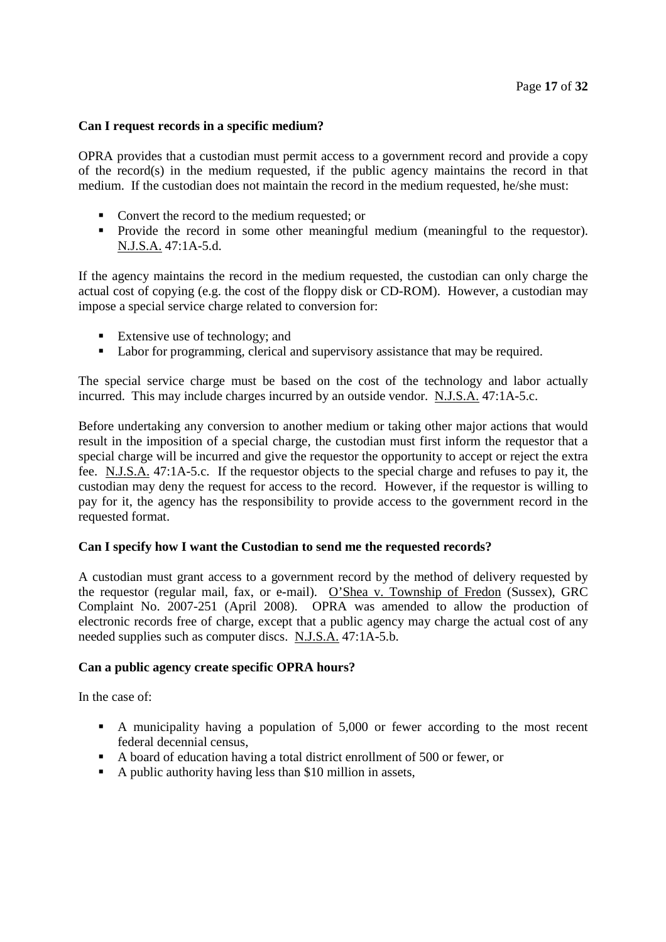# **Can I request records in a specific medium?**

OPRA provides that a custodian must permit access to a government record and provide a copy of the record(s) in the medium requested, if the public agency maintains the record in that medium. If the custodian does not maintain the record in the medium requested, he/she must:

- Convert the record to the medium requested; or
- Provide the record in some other meaningful medium (meaningful to the requestor). N.J.S.A. 47:1A-5.d.

If the agency maintains the record in the medium requested, the custodian can only charge the actual cost of copying (e.g. the cost of the floppy disk or CD-ROM). However, a custodian may impose a special service charge related to conversion for:

- Extensive use of technology; and
- Labor for programming, clerical and supervisory assistance that may be required.

The special service charge must be based on the cost of the technology and labor actually incurred. This may include charges incurred by an outside vendor. N.J.S.A. 47:1A-5.c.

Before undertaking any conversion to another medium or taking other major actions that would result in the imposition of a special charge, the custodian must first inform the requestor that a special charge will be incurred and give the requestor the opportunity to accept or reject the extra fee. N.J.S.A. 47:1A-5.c. If the requestor objects to the special charge and refuses to pay it, the custodian may deny the request for access to the record. However, if the requestor is willing to pay for it, the agency has the responsibility to provide access to the government record in the requested format.

# **Can I specify how I want the Custodian to send me the requested records?**

A custodian must grant access to a government record by the method of delivery requested by the requestor (regular mail, fax, or e-mail). O'Shea v. Township of Fredon (Sussex), GRC Complaint No. 2007-251 (April 2008). OPRA was amended to allow the production of electronic records free of charge, except that a public agency may charge the actual cost of any needed supplies such as computer discs. N.J.S.A. 47:1A-5.b.

# **Can a public agency create specific OPRA hours?**

In the case of:

- A municipality having a population of 5,000 or fewer according to the most recent federal decennial census,
- A board of education having a total district enrollment of 500 or fewer, or
- A public authority having less than \$10 million in assets,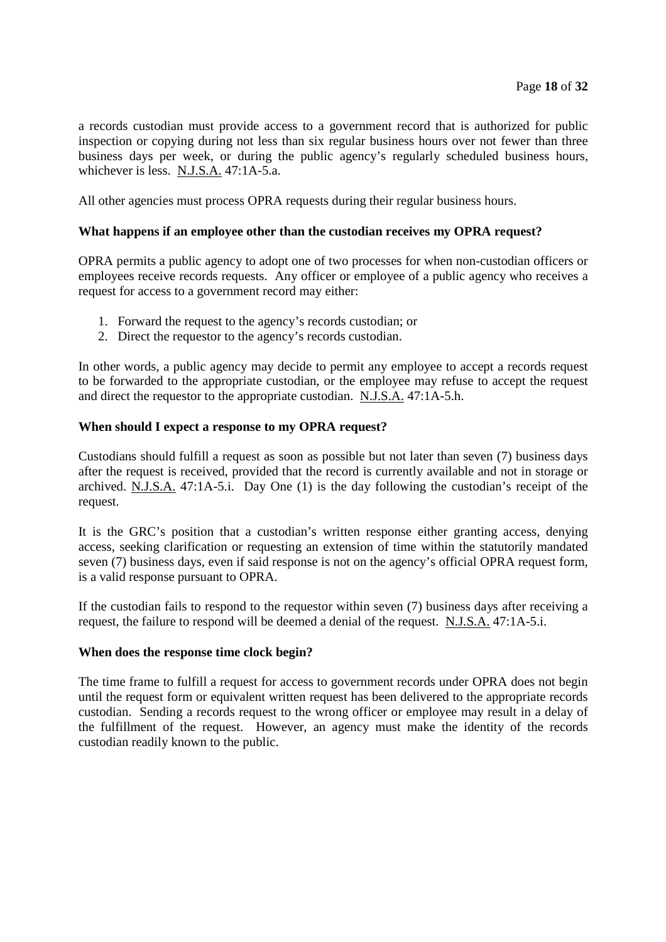a records custodian must provide access to a government record that is authorized for public inspection or copying during not less than six regular business hours over not fewer than three business days per week, or during the public agency's regularly scheduled business hours, whichever is less. N.J.S.A. 47:1A-5.a.

All other agencies must process OPRA requests during their regular business hours.

# **What happens if an employee other than the custodian receives my OPRA request?**

OPRA permits a public agency to adopt one of two processes for when non-custodian officers or employees receive records requests. Any officer or employee of a public agency who receives a request for access to a government record may either:

- 1. Forward the request to the agency's records custodian; or
- 2. Direct the requestor to the agency's records custodian.

In other words, a public agency may decide to permit any employee to accept a records request to be forwarded to the appropriate custodian, or the employee may refuse to accept the request and direct the requestor to the appropriate custodian. N.J.S.A. 47:1A-5.h.

# **When should I expect a response to my OPRA request?**

Custodians should fulfill a request as soon as possible but not later than seven (7) business days after the request is received, provided that the record is currently available and not in storage or archived. N.J.S.A. 47:1A-5.i. Day One (1) is the day following the custodian's receipt of the request.

It is the GRC's position that a custodian's written response either granting access, denying access, seeking clarification or requesting an extension of time within the statutorily mandated seven (7) business days, even if said response is not on the agency's official OPRA request form, is a valid response pursuant to OPRA.

If the custodian fails to respond to the requestor within seven (7) business days after receiving a request, the failure to respond will be deemed a denial of the request. N.J.S.A. 47:1A-5.i.

#### **When does the response time clock begin?**

The time frame to fulfill a request for access to government records under OPRA does not begin until the request form or equivalent written request has been delivered to the appropriate records custodian. Sending a records request to the wrong officer or employee may result in a delay of the fulfillment of the request. However, an agency must make the identity of the records custodian readily known to the public.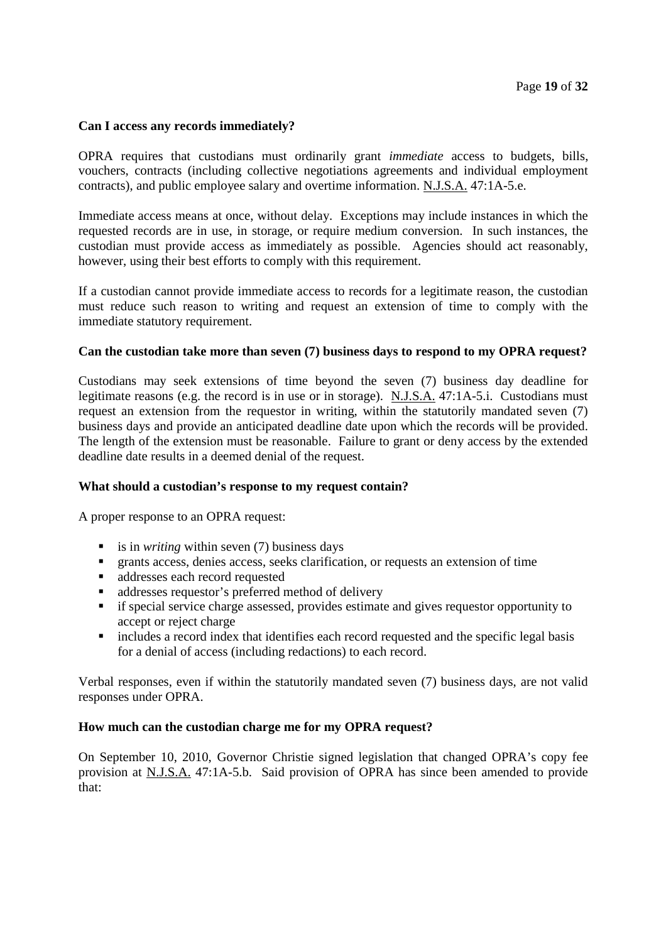# **Can I access any records immediately?**

OPRA requires that custodians must ordinarily grant *immediate* access to budgets, bills, vouchers, contracts (including collective negotiations agreements and individual employment contracts), and public employee salary and overtime information. N.J.S.A. 47:1A-5.e.

Immediate access means at once, without delay. Exceptions may include instances in which the requested records are in use, in storage, or require medium conversion. In such instances, the custodian must provide access as immediately as possible. Agencies should act reasonably, however, using their best efforts to comply with this requirement.

If a custodian cannot provide immediate access to records for a legitimate reason, the custodian must reduce such reason to writing and request an extension of time to comply with the immediate statutory requirement.

# **Can the custodian take more than seven (7) business days to respond to my OPRA request?**

Custodians may seek extensions of time beyond the seven (7) business day deadline for legitimate reasons (e.g. the record is in use or in storage). N.J.S.A. 47:1A-5.i. Custodians must request an extension from the requestor in writing, within the statutorily mandated seven (7) business days and provide an anticipated deadline date upon which the records will be provided. The length of the extension must be reasonable. Failure to grant or deny access by the extended deadline date results in a deemed denial of the request.

#### **What should a custodian's response to my request contain?**

A proper response to an OPRA request:

- is in *writing* within seven  $(7)$  business days
- grants access, denies access, seeks clarification, or requests an extension of time
- addresses each record requested
- addresses requestor's preferred method of delivery
- **i** if special service charge assessed, provides estimate and gives requestor opportunity to accept or reject charge
- includes a record index that identifies each record requested and the specific legal basis for a denial of access (including redactions) to each record.

Verbal responses, even if within the statutorily mandated seven (7) business days, are not valid responses under OPRA.

#### **How much can the custodian charge me for my OPRA request?**

On September 10, 2010, Governor Christie signed legislation that changed OPRA's copy fee provision at N.J.S.A. 47:1A-5.b. Said provision of OPRA has since been amended to provide that: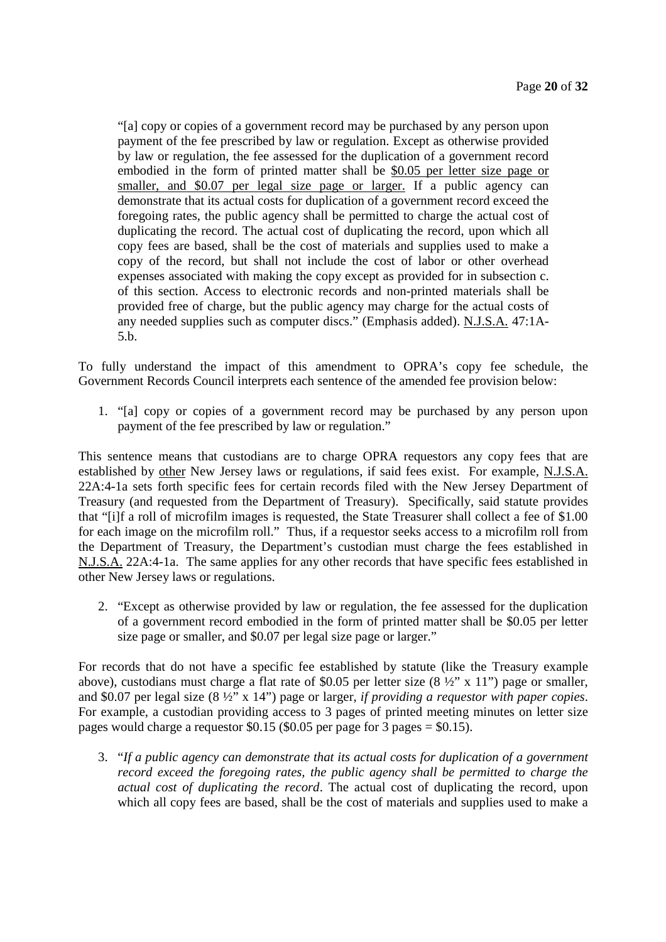"[a] copy or copies of a government record may be purchased by any person upon payment of the fee prescribed by law or regulation. Except as otherwise provided by law or regulation, the fee assessed for the duplication of a government record embodied in the form of printed matter shall be \$0.05 per letter size page or smaller, and \$0.07 per legal size page or larger. If a public agency can demonstrate that its actual costs for duplication of a government record exceed the foregoing rates, the public agency shall be permitted to charge the actual cost of duplicating the record. The actual cost of duplicating the record, upon which all copy fees are based, shall be the cost of materials and supplies used to make a copy of the record, but shall not include the cost of labor or other overhead expenses associated with making the copy except as provided for in subsection c. of this section. Access to electronic records and non-printed materials shall be provided free of charge, but the public agency may charge for the actual costs of any needed supplies such as computer discs." (Emphasis added). N.J.S.A. 47:1A-5.b.

To fully understand the impact of this amendment to OPRA's copy fee schedule, the Government Records Council interprets each sentence of the amended fee provision below:

1. "[a] copy or copies of a government record may be purchased by any person upon payment of the fee prescribed by law or regulation."

This sentence means that custodians are to charge OPRA requestors any copy fees that are established by other New Jersey laws or regulations, if said fees exist. For example, N.J.S.A. 22A:4-1a sets forth specific fees for certain records filed with the New Jersey Department of Treasury (and requested from the Department of Treasury). Specifically, said statute provides that "[i]f a roll of microfilm images is requested, the State Treasurer shall collect a fee of \$1.00 for each image on the microfilm roll." Thus, if a requestor seeks access to a microfilm roll from the Department of Treasury, the Department's custodian must charge the fees established in N.J.S.A. 22A:4-1a. The same applies for any other records that have specific fees established in other New Jersey laws or regulations.

2. "Except as otherwise provided by law or regulation, the fee assessed for the duplication of a government record embodied in the form of printed matter shall be \$0.05 per letter size page or smaller, and \$0.07 per legal size page or larger."

For records that do not have a specific fee established by statute (like the Treasury example above), custodians must charge a flat rate of \$0.05 per letter size (8 ½" x 11") page or smaller, and \$0.07 per legal size (8 ½" x 14") page or larger, *if providing a requestor with paper copies*. For example, a custodian providing access to 3 pages of printed meeting minutes on letter size pages would charge a requestor \$0.15 (\$0.05 per page for 3 pages = \$0.15).

3. "*If a public agency can demonstrate that its actual costs for duplication of a government record exceed the foregoing rates, the public agency shall be permitted to charge the actual cost of duplicating the record*. The actual cost of duplicating the record, upon which all copy fees are based, shall be the cost of materials and supplies used to make a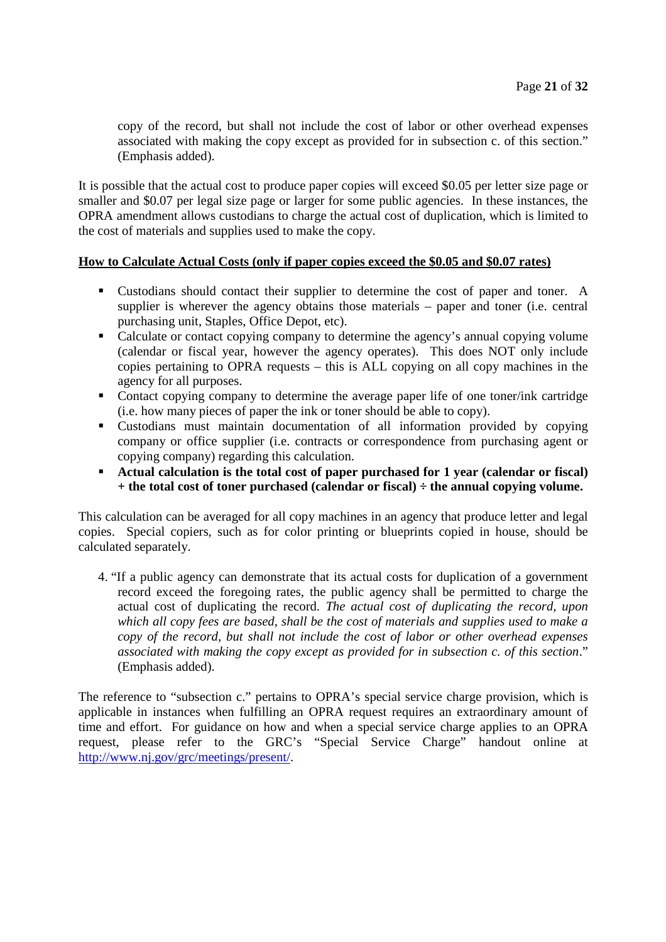copy of the record, but shall not include the cost of labor or other overhead expenses associated with making the copy except as provided for in subsection c. of this section." (Emphasis added).

It is possible that the actual cost to produce paper copies will exceed \$0.05 per letter size page or smaller and \$0.07 per legal size page or larger for some public agencies. In these instances, the OPRA amendment allows custodians to charge the actual cost of duplication, which is limited to the cost of materials and supplies used to make the copy.

# **How to Calculate Actual Costs (only if paper copies exceed the \$0.05 and \$0.07 rates)**

- Custodians should contact their supplier to determine the cost of paper and toner. A supplier is wherever the agency obtains those materials – paper and toner (i.e. central purchasing unit, Staples, Office Depot, etc).
- Calculate or contact copying company to determine the agency's annual copying volume (calendar or fiscal year, however the agency operates). This does NOT only include copies pertaining to OPRA requests – this is ALL copying on all copy machines in the agency for all purposes.
- Contact copying company to determine the average paper life of one toner/ink cartridge (i.e. how many pieces of paper the ink or toner should be able to copy).
- Custodians must maintain documentation of all information provided by copying company or office supplier (i.e. contracts or correspondence from purchasing agent or copying company) regarding this calculation.
- **Actual calculation is the total cost of paper purchased for 1 year (calendar or fiscal) + the total cost of toner purchased (calendar or fiscal) ÷ the annual copying volume.**

This calculation can be averaged for all copy machines in an agency that produce letter and legal copies. Special copiers, such as for color printing or blueprints copied in house, should be calculated separately.

4. "If a public agency can demonstrate that its actual costs for duplication of a government record exceed the foregoing rates, the public agency shall be permitted to charge the actual cost of duplicating the record. *The actual cost of duplicating the record, upon which all copy fees are based, shall be the cost of materials and supplies used to make a copy of the record, but shall not include the cost of labor or other overhead expenses associated with making the copy except as provided for in subsection c. of this section*." (Emphasis added).

The reference to "subsection c." pertains to OPRA's special service charge provision, which is applicable in instances when fulfilling an OPRA request requires an extraordinary amount of time and effort. For guidance on how and when a special service charge applies to an OPRA request, please refer to the GRC's "Special Service Charge" handout online at http://www.nj.gov/grc/meetings/present/.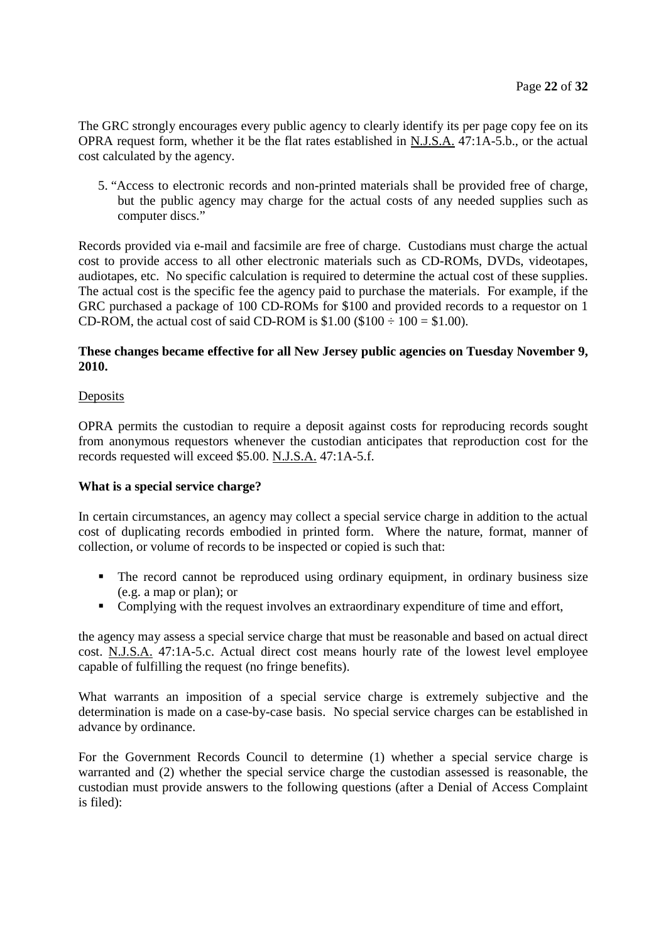The GRC strongly encourages every public agency to clearly identify its per page copy fee on its OPRA request form, whether it be the flat rates established in N.J.S.A. 47:1A-5.b., or the actual cost calculated by the agency.

5. "Access to electronic records and non-printed materials shall be provided free of charge, but the public agency may charge for the actual costs of any needed supplies such as computer discs."

Records provided via e-mail and facsimile are free of charge. Custodians must charge the actual cost to provide access to all other electronic materials such as CD-ROMs, DVDs, videotapes, audiotapes, etc. No specific calculation is required to determine the actual cost of these supplies. The actual cost is the specific fee the agency paid to purchase the materials. For example, if the GRC purchased a package of 100 CD-ROMs for \$100 and provided records to a requestor on 1 CD-ROM, the actual cost of said CD-ROM is  $$1.00$  ( $$100 \div 100 = $1.00$ ).

# **These changes became effective for all New Jersey public agencies on Tuesday November 9, 2010.**

# **Deposits**

OPRA permits the custodian to require a deposit against costs for reproducing records sought from anonymous requestors whenever the custodian anticipates that reproduction cost for the records requested will exceed \$5.00. N.J.S.A. 47:1A-5.f.

# **What is a special service charge?**

In certain circumstances, an agency may collect a special service charge in addition to the actual cost of duplicating records embodied in printed form. Where the nature, format, manner of collection, or volume of records to be inspected or copied is such that:

- The record cannot be reproduced using ordinary equipment, in ordinary business size (e.g. a map or plan); or
- Complying with the request involves an extraordinary expenditure of time and effort,

the agency may assess a special service charge that must be reasonable and based on actual direct cost. N.J.S.A. 47:1A-5.c. Actual direct cost means hourly rate of the lowest level employee capable of fulfilling the request (no fringe benefits).

What warrants an imposition of a special service charge is extremely subjective and the determination is made on a case-by-case basis. No special service charges can be established in advance by ordinance.

For the Government Records Council to determine (1) whether a special service charge is warranted and (2) whether the special service charge the custodian assessed is reasonable, the custodian must provide answers to the following questions (after a Denial of Access Complaint is filed):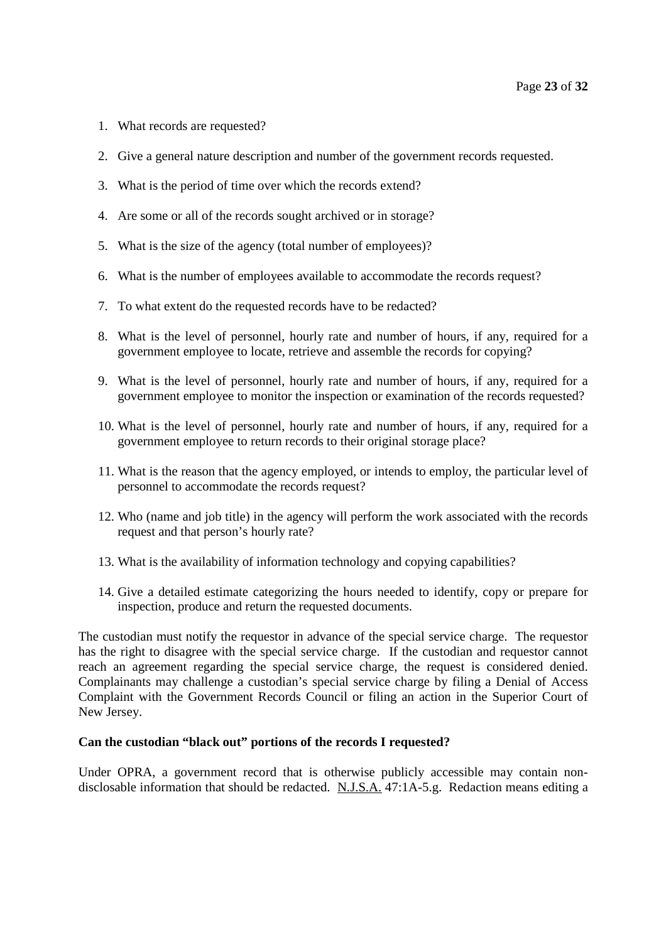- 1. What records are requested?
- 2. Give a general nature description and number of the government records requested.
- 3. What is the period of time over which the records extend?
- 4. Are some or all of the records sought archived or in storage?
- 5. What is the size of the agency (total number of employees)?
- 6. What is the number of employees available to accommodate the records request?
- 7. To what extent do the requested records have to be redacted?
- 8. What is the level of personnel, hourly rate and number of hours, if any, required for a government employee to locate, retrieve and assemble the records for copying?
- 9. What is the level of personnel, hourly rate and number of hours, if any, required for a government employee to monitor the inspection or examination of the records requested?
- 10. What is the level of personnel, hourly rate and number of hours, if any, required for a government employee to return records to their original storage place?
- 11. What is the reason that the agency employed, or intends to employ, the particular level of personnel to accommodate the records request?
- 12. Who (name and job title) in the agency will perform the work associated with the records request and that person's hourly rate?
- 13. What is the availability of information technology and copying capabilities?
- 14. Give a detailed estimate categorizing the hours needed to identify, copy or prepare for inspection, produce and return the requested documents.

The custodian must notify the requestor in advance of the special service charge. The requestor has the right to disagree with the special service charge. If the custodian and requestor cannot reach an agreement regarding the special service charge, the request is considered denied. Complainants may challenge a custodian's special service charge by filing a Denial of Access Complaint with the Government Records Council or filing an action in the Superior Court of New Jersey.

# **Can the custodian "black out" portions of the records I requested?**

Under OPRA, a government record that is otherwise publicly accessible may contain nondisclosable information that should be redacted. N.J.S.A. 47:1A-5.g. Redaction means editing a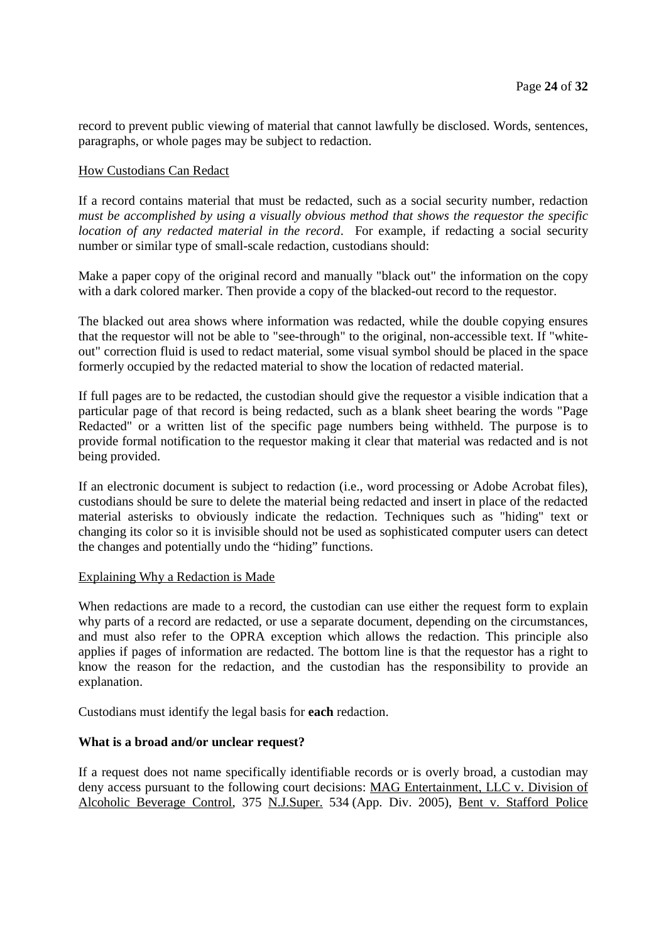record to prevent public viewing of material that cannot lawfully be disclosed. Words, sentences, paragraphs, or whole pages may be subject to redaction.

# How Custodians Can Redact

If a record contains material that must be redacted, such as a social security number, redaction *must be accomplished by using a visually obvious method that shows the requestor the specific location of any redacted material in the record*. For example, if redacting a social security number or similar type of small-scale redaction, custodians should:

Make a paper copy of the original record and manually "black out" the information on the copy with a dark colored marker. Then provide a copy of the blacked-out record to the requestor.

The blacked out area shows where information was redacted, while the double copying ensures that the requestor will not be able to "see-through" to the original, non-accessible text. If "whiteout" correction fluid is used to redact material, some visual symbol should be placed in the space formerly occupied by the redacted material to show the location of redacted material.

If full pages are to be redacted, the custodian should give the requestor a visible indication that a particular page of that record is being redacted, such as a blank sheet bearing the words "Page Redacted" or a written list of the specific page numbers being withheld. The purpose is to provide formal notification to the requestor making it clear that material was redacted and is not being provided.

If an electronic document is subject to redaction (i.e., word processing or Adobe Acrobat files), custodians should be sure to delete the material being redacted and insert in place of the redacted material asterisks to obviously indicate the redaction. Techniques such as "hiding" text or changing its color so it is invisible should not be used as sophisticated computer users can detect the changes and potentially undo the "hiding" functions.

#### Explaining Why a Redaction is Made

When redactions are made to a record, the custodian can use either the request form to explain why parts of a record are redacted, or use a separate document, depending on the circumstances, and must also refer to the OPRA exception which allows the redaction. This principle also applies if pages of information are redacted. The bottom line is that the requestor has a right to know the reason for the redaction, and the custodian has the responsibility to provide an explanation.

Custodians must identify the legal basis for **each** redaction.

# **What is a broad and/or unclear request?**

If a request does not name specifically identifiable records or is overly broad, a custodian may deny access pursuant to the following court decisions: MAG Entertainment, LLC v. Division of Alcoholic Beverage Control, 375 N.J.Super. 534 (App. Div. 2005), Bent v. Stafford Police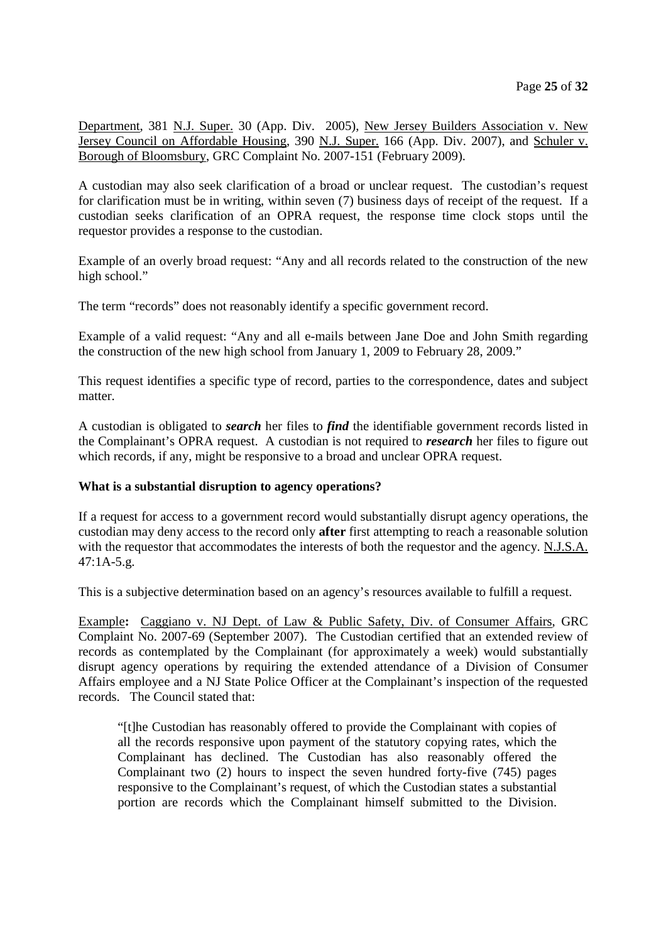Department, 381 N.J. Super. 30 (App. Div. 2005), New Jersey Builders Association v. New Jersey Council on Affordable Housing, 390 N.J. Super. 166 (App. Div. 2007), and Schuler v. Borough of Bloomsbury, GRC Complaint No. 2007-151 (February 2009).

A custodian may also seek clarification of a broad or unclear request. The custodian's request for clarification must be in writing, within seven (7) business days of receipt of the request. If a custodian seeks clarification of an OPRA request, the response time clock stops until the requestor provides a response to the custodian.

Example of an overly broad request: "Any and all records related to the construction of the new high school."

The term "records" does not reasonably identify a specific government record.

Example of a valid request: "Any and all e-mails between Jane Doe and John Smith regarding the construction of the new high school from January 1, 2009 to February 28, 2009."

This request identifies a specific type of record, parties to the correspondence, dates and subject matter.

A custodian is obligated to *search* her files to *find* the identifiable government records listed in the Complainant's OPRA request. A custodian is not required to *research* her files to figure out which records, if any, might be responsive to a broad and unclear OPRA request.

#### **What is a substantial disruption to agency operations?**

If a request for access to a government record would substantially disrupt agency operations, the custodian may deny access to the record only **after** first attempting to reach a reasonable solution with the requestor that accommodates the interests of both the requestor and the agency. N.J.S.A. 47:1A-5.g.

This is a subjective determination based on an agency's resources available to fulfill a request.

Example**:** Caggiano v. NJ Dept. of Law & Public Safety, Div. of Consumer Affairs, GRC Complaint No. 2007-69 (September 2007). The Custodian certified that an extended review of records as contemplated by the Complainant (for approximately a week) would substantially disrupt agency operations by requiring the extended attendance of a Division of Consumer Affairs employee and a NJ State Police Officer at the Complainant's inspection of the requested records. The Council stated that:

"[t]he Custodian has reasonably offered to provide the Complainant with copies of all the records responsive upon payment of the statutory copying rates, which the Complainant has declined. The Custodian has also reasonably offered the Complainant two (2) hours to inspect the seven hundred forty-five (745) pages responsive to the Complainant's request, of which the Custodian states a substantial portion are records which the Complainant himself submitted to the Division.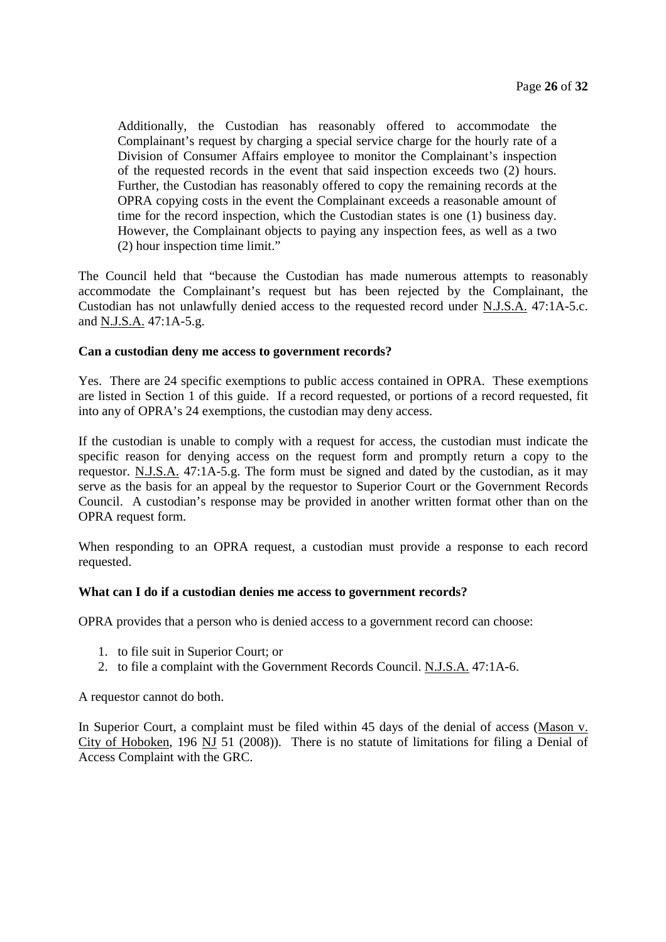Additionally, the Custodian has reasonably offered to accommodate the Complainant's request by charging a special service charge for the hourly rate of a Division of Consumer Affairs employee to monitor the Complainant's inspection of the requested records in the event that said inspection exceeds two (2) hours. Further, the Custodian has reasonably offered to copy the remaining records at the OPRA copying costs in the event the Complainant exceeds a reasonable amount of time for the record inspection, which the Custodian states is one (1) business day. However, the Complainant objects to paying any inspection fees, as well as a two (2) hour inspection time limit."

The Council held that "because the Custodian has made numerous attempts to reasonably accommodate the Complainant's request but has been rejected by the Complainant, the Custodian has not unlawfully denied access to the requested record under N.J.S.A. 47:1A-5.c. and N.J.S.A. 47:1A-5.g.

# **Can a custodian deny me access to government records?**

Yes. There are 24 specific exemptions to public access contained in OPRA. These exemptions are listed in Section 1 of this guide. If a record requested, or portions of a record requested, fit into any of OPRA's 24 exemptions, the custodian may deny access.

If the custodian is unable to comply with a request for access, the custodian must indicate the specific reason for denying access on the request form and promptly return a copy to the requestor. N.J.S.A. 47:1A-5.g. The form must be signed and dated by the custodian, as it may serve as the basis for an appeal by the requestor to Superior Court or the Government Records Council. A custodian's response may be provided in another written format other than on the OPRA request form.

When responding to an OPRA request, a custodian must provide a response to each record requested.

#### **What can I do if a custodian denies me access to government records?**

OPRA provides that a person who is denied access to a government record can choose:

- 1. to file suit in Superior Court; or
- 2. to file a complaint with the Government Records Council. N.J.S.A. 47:1A-6.

A requestor cannot do both.

In Superior Court, a complaint must be filed within 45 days of the denial of access (Mason v. City of Hoboken, 196 NJ 51 (2008)). There is no statute of limitations for filing a Denial of Access Complaint with the GRC.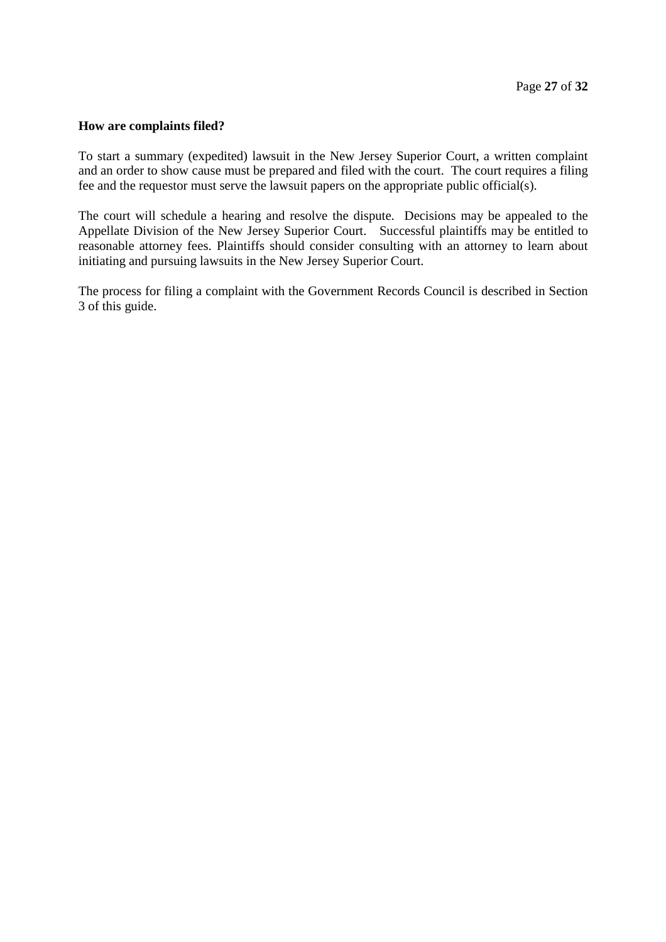# **How are complaints filed?**

To start a summary (expedited) lawsuit in the New Jersey Superior Court, a written complaint and an order to show cause must be prepared and filed with the court. The court requires a filing fee and the requestor must serve the lawsuit papers on the appropriate public official(s).

The court will schedule a hearing and resolve the dispute. Decisions may be appealed to the Appellate Division of the New Jersey Superior Court. Successful plaintiffs may be entitled to reasonable attorney fees. Plaintiffs should consider consulting with an attorney to learn about initiating and pursuing lawsuits in the New Jersey Superior Court.

The process for filing a complaint with the Government Records Council is described in Section 3 of this guide.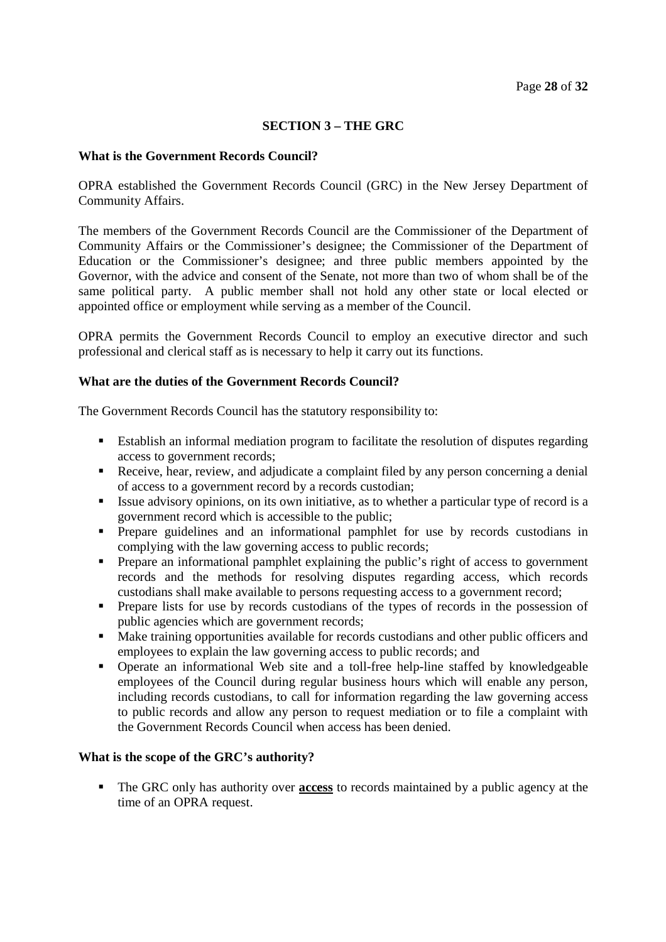# **SECTION 3 – THE GRC**

# **What is the Government Records Council?**

OPRA established the Government Records Council (GRC) in the New Jersey Department of Community Affairs.

The members of the Government Records Council are the Commissioner of the Department of Community Affairs or the Commissioner's designee; the Commissioner of the Department of Education or the Commissioner's designee; and three public members appointed by the Governor, with the advice and consent of the Senate, not more than two of whom shall be of the same political party. A public member shall not hold any other state or local elected or appointed office or employment while serving as a member of the Council.

OPRA permits the Government Records Council to employ an executive director and such professional and clerical staff as is necessary to help it carry out its functions.

#### **What are the duties of the Government Records Council?**

The Government Records Council has the statutory responsibility to:

- Establish an informal mediation program to facilitate the resolution of disputes regarding access to government records;
- Receive, hear, review, and adjudicate a complaint filed by any person concerning a denial of access to a government record by a records custodian;
- Issue advisory opinions, on its own initiative, as to whether a particular type of record is a government record which is accessible to the public;
- Prepare guidelines and an informational pamphlet for use by records custodians in complying with the law governing access to public records;
- **Prepare an informational pamphlet explaining the public's right of access to government** records and the methods for resolving disputes regarding access, which records custodians shall make available to persons requesting access to a government record;
- **Prepare lists for use by records custodians of the types of records in the possession of** public agencies which are government records;
- Make training opportunities available for records custodians and other public officers and employees to explain the law governing access to public records; and
- Operate an informational Web site and a toll-free help-line staffed by knowledgeable employees of the Council during regular business hours which will enable any person, including records custodians, to call for information regarding the law governing access to public records and allow any person to request mediation or to file a complaint with the Government Records Council when access has been denied.

#### **What is the scope of the GRC's authority?**

 The GRC only has authority over **access** to records maintained by a public agency at the time of an OPRA request.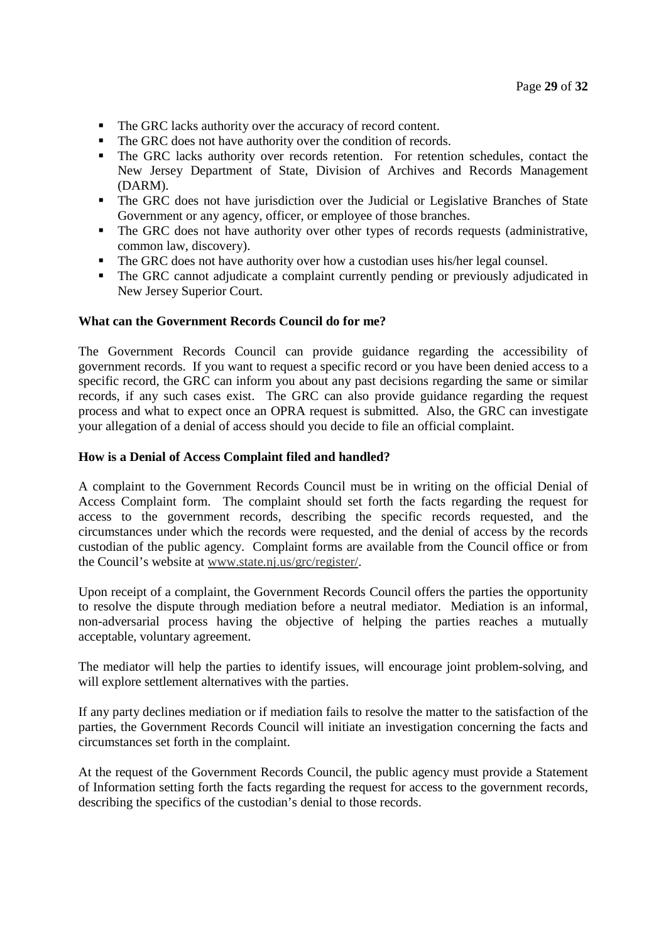- The GRC lacks authority over the accuracy of record content.
- The GRC does not have authority over the condition of records.
- The GRC lacks authority over records retention. For retention schedules, contact the New Jersey Department of State, Division of Archives and Records Management (DARM).
- The GRC does not have jurisdiction over the Judicial or Legislative Branches of State Government or any agency, officer, or employee of those branches.
- The GRC does not have authority over other types of records requests (administrative, common law, discovery).
- The GRC does not have authority over how a custodian uses his/her legal counsel.
- The GRC cannot adjudicate a complaint currently pending or previously adjudicated in New Jersey Superior Court.

#### **What can the Government Records Council do for me?**

The Government Records Council can provide guidance regarding the accessibility of government records. If you want to request a specific record or you have been denied access to a specific record, the GRC can inform you about any past decisions regarding the same or similar records, if any such cases exist. The GRC can also provide guidance regarding the request process and what to expect once an OPRA request is submitted. Also, the GRC can investigate your allegation of a denial of access should you decide to file an official complaint.

#### **How is a Denial of Access Complaint filed and handled?**

A complaint to the Government Records Council must be in writing on the official Denial of Access Complaint form. The complaint should set forth the facts regarding the request for access to the government records, describing the specific records requested, and the circumstances under which the records were requested, and the denial of access by the records custodian of the public agency. Complaint forms are available from the Council office or from the Council's website at www.state.nj.us/grc/register/.

Upon receipt of a complaint, the Government Records Council offers the parties the opportunity to resolve the dispute through mediation before a neutral mediator. Mediation is an informal, non-adversarial process having the objective of helping the parties reaches a mutually acceptable, voluntary agreement.

The mediator will help the parties to identify issues, will encourage joint problem-solving, and will explore settlement alternatives with the parties.

If any party declines mediation or if mediation fails to resolve the matter to the satisfaction of the parties, the Government Records Council will initiate an investigation concerning the facts and circumstances set forth in the complaint.

At the request of the Government Records Council, the public agency must provide a Statement of Information setting forth the facts regarding the request for access to the government records, describing the specifics of the custodian's denial to those records.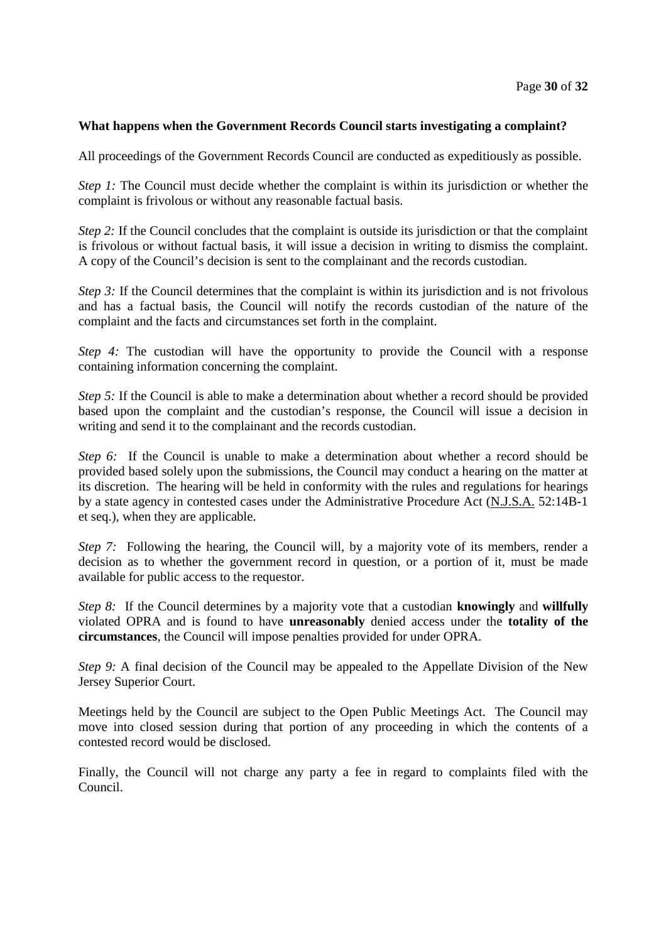# **What happens when the Government Records Council starts investigating a complaint?**

All proceedings of the Government Records Council are conducted as expeditiously as possible.

*Step 1:* The Council must decide whether the complaint is within its jurisdiction or whether the complaint is frivolous or without any reasonable factual basis.

*Step 2:* If the Council concludes that the complaint is outside its jurisdiction or that the complaint is frivolous or without factual basis, it will issue a decision in writing to dismiss the complaint. A copy of the Council's decision is sent to the complainant and the records custodian.

*Step 3:* If the Council determines that the complaint is within its jurisdiction and is not frivolous and has a factual basis, the Council will notify the records custodian of the nature of the complaint and the facts and circumstances set forth in the complaint.

*Step 4:* The custodian will have the opportunity to provide the Council with a response containing information concerning the complaint.

*Step 5:* If the Council is able to make a determination about whether a record should be provided based upon the complaint and the custodian's response, the Council will issue a decision in writing and send it to the complainant and the records custodian.

*Step 6:* If the Council is unable to make a determination about whether a record should be provided based solely upon the submissions, the Council may conduct a hearing on the matter at its discretion. The hearing will be held in conformity with the rules and regulations for hearings by a state agency in contested cases under the Administrative Procedure Act (N.J.S.A. 52:14B-1 et seq.), when they are applicable.

*Step 7:* Following the hearing, the Council will, by a majority vote of its members, render a decision as to whether the government record in question, or a portion of it, must be made available for public access to the requestor.

*Step 8:* If the Council determines by a majority vote that a custodian **knowingly** and **willfully** violated OPRA and is found to have **unreasonably** denied access under the **totality of the circumstances**, the Council will impose penalties provided for under OPRA.

*Step 9:* A final decision of the Council may be appealed to the Appellate Division of the New Jersey Superior Court.

Meetings held by the Council are subject to the Open Public Meetings Act. The Council may move into closed session during that portion of any proceeding in which the contents of a contested record would be disclosed.

Finally, the Council will not charge any party a fee in regard to complaints filed with the Council.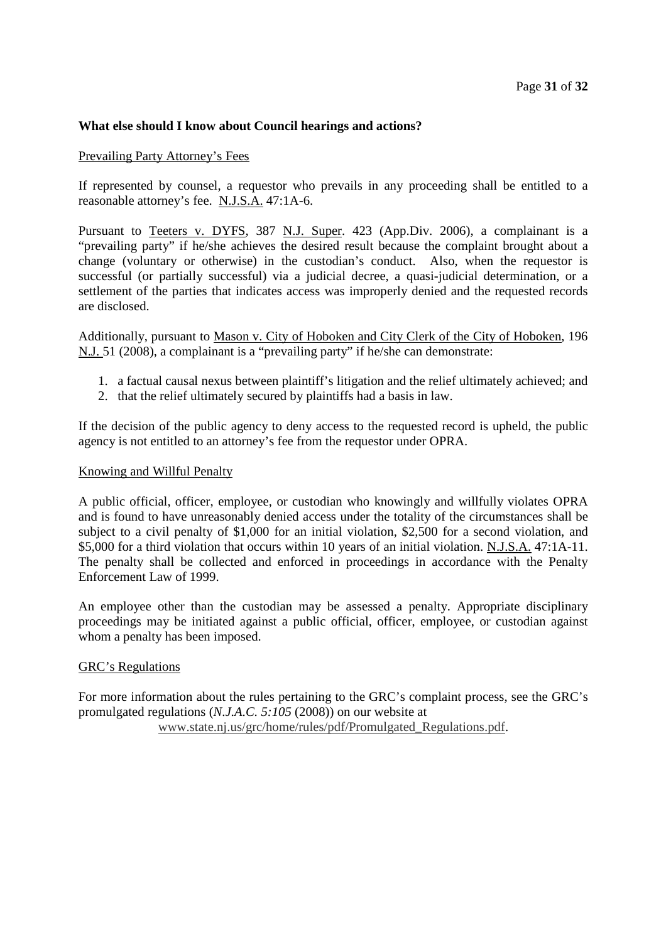# **What else should I know about Council hearings and actions?**

# Prevailing Party Attorney's Fees

If represented by counsel, a requestor who prevails in any proceeding shall be entitled to a reasonable attorney's fee. N.J.S.A. 47:1A-6.

Pursuant to Teeters v. DYFS, 387 N.J. Super. 423 (App.Div. 2006), a complainant is a "prevailing party" if he/she achieves the desired result because the complaint brought about a change (voluntary or otherwise) in the custodian's conduct. Also, when the requestor is successful (or partially successful) via a judicial decree, a quasi-judicial determination, or a settlement of the parties that indicates access was improperly denied and the requested records are disclosed.

Additionally, pursuant to Mason v. City of Hoboken and City Clerk of the City of Hoboken, 196 N.J. 51 (2008), a complainant is a "prevailing party" if he/she can demonstrate:

- 1. a factual causal nexus between plaintiff's litigation and the relief ultimately achieved; and
- 2. that the relief ultimately secured by plaintiffs had a basis in law.

If the decision of the public agency to deny access to the requested record is upheld, the public agency is not entitled to an attorney's fee from the requestor under OPRA.

#### Knowing and Willful Penalty

A public official, officer, employee, or custodian who knowingly and willfully violates OPRA and is found to have unreasonably denied access under the totality of the circumstances shall be subject to a civil penalty of \$1,000 for an initial violation, \$2,500 for a second violation, and \$5,000 for a third violation that occurs within 10 years of an initial violation. N.J.S.A. 47:1A-11. The penalty shall be collected and enforced in proceedings in accordance with the Penalty Enforcement Law of 1999.

An employee other than the custodian may be assessed a penalty. Appropriate disciplinary proceedings may be initiated against a public official, officer, employee, or custodian against whom a penalty has been imposed.

#### GRC's Regulations

For more information about the rules pertaining to the GRC's complaint process, see the GRC's promulgated regulations (*N.J.A.C. 5:105* (2008)) on our website at

www.state.nj.us/grc/home/rules/pdf/Promulgated\_Regulations.pdf.